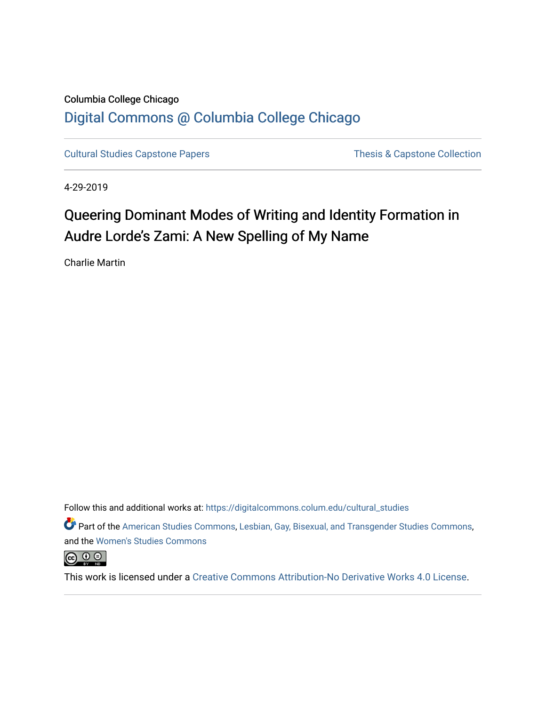## Columbia College Chicago [Digital Commons @ Columbia College Chicago](https://digitalcommons.colum.edu/)

[Cultural Studies Capstone Papers](https://digitalcommons.colum.edu/cultural_studies) Thesis & Capstone Collection

4-29-2019

# Queering Dominant Modes of Writing and Identity Formation in Audre Lorde's Zami: A New Spelling of My Name

Charlie Martin

Follow this and additional works at: [https://digitalcommons.colum.edu/cultural\\_studies](https://digitalcommons.colum.edu/cultural_studies?utm_source=digitalcommons.colum.edu%2Fcultural_studies%2F65&utm_medium=PDF&utm_campaign=PDFCoverPages) 

Part of the [American Studies Commons](http://network.bepress.com/hgg/discipline/439?utm_source=digitalcommons.colum.edu%2Fcultural_studies%2F65&utm_medium=PDF&utm_campaign=PDFCoverPages), [Lesbian, Gay, Bisexual, and Transgender Studies Commons,](http://network.bepress.com/hgg/discipline/560?utm_source=digitalcommons.colum.edu%2Fcultural_studies%2F65&utm_medium=PDF&utm_campaign=PDFCoverPages) and the [Women's Studies Commons](http://network.bepress.com/hgg/discipline/561?utm_source=digitalcommons.colum.edu%2Fcultural_studies%2F65&utm_medium=PDF&utm_campaign=PDFCoverPages) 



This work is licensed under a [Creative Commons Attribution-No Derivative Works 4.0 License.](https://creativecommons.org/licenses/by-nd/4.0/)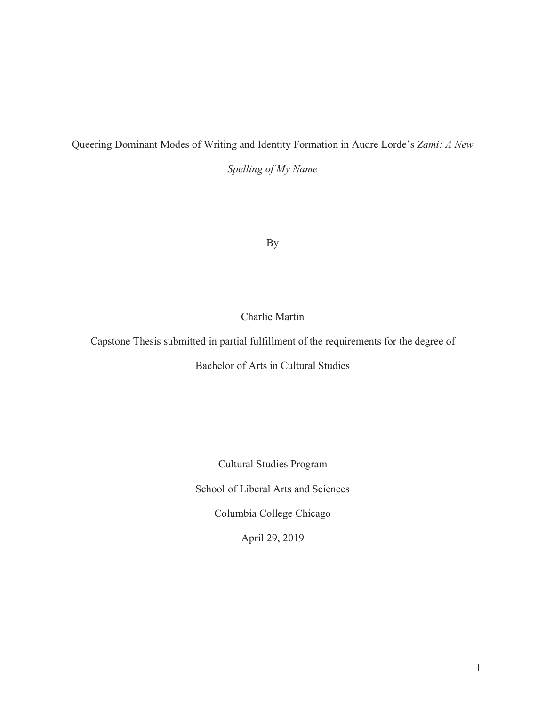## Queering Dominant Modes of Writing and Identity Formation in Audre Lorde's *Zami: A New*

*Spelling of My Name* 

By

### Charlie Martin

Capstone Thesis submitted in partial fulfillment of the requirements for the degree of Bachelor of Arts in Cultural Studies

> Cultural Studies Program School of Liberal Arts and Sciences Columbia College Chicago April 29, 2019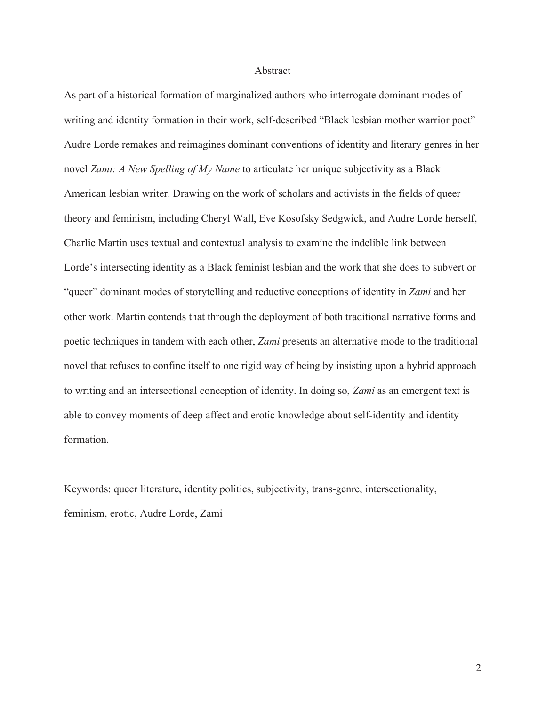#### Abstract

As part of a historical formation of marginalized authors who interrogate dominant modes of writing and identity formation in their work, self-described "Black lesbian mother warrior poet" Audre Lorde remakes and reimagines dominant conventions of identity and literary genres in her novel *Zami: A New Spelling of My Name* to articulate her unique subjectivity as a Black American lesbian writer. Drawing on the work of scholars and activists in the fields of queer theory and feminism, including Cheryl Wall, Eve Kosofsky Sedgwick, and Audre Lorde herself, Charlie Martin uses textual and contextual analysis to examine the indelible link between Lorde's intersecting identity as a Black feminist lesbian and the work that she does to subvert or "queer" dominant modes of storytelling and reductive conceptions of identity in *Zami* and her other work. Martin contends that through the deployment of both traditional narrative forms and poetic techniques in tandem with each other, *Zami* presents an alternative mode to the traditional novel that refuses to confine itself to one rigid way of being by insisting upon a hybrid approach to writing and an intersectional conception of identity. In doing so, *Zami* as an emergent text is able to convey moments of deep affect and erotic knowledge about self-identity and identity formation.

Keywords: queer literature, identity politics, subjectivity, trans-genre, intersectionality, feminism, erotic, Audre Lorde, Zami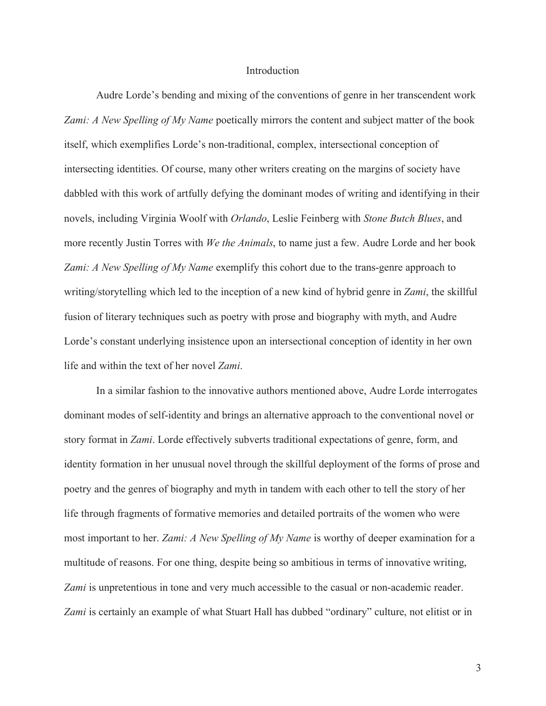#### Introduction

Audre Lorde's bending and mixing of the conventions of genre in her transcendent work *Zami: A New Spelling of My Name* poetically mirrors the content and subject matter of the book itself, which exemplifies Lorde's non-traditional, complex, intersectional conception of intersecting identities. Of course, many other writers creating on the margins of society have dabbled with this work of artfully defying the dominant modes of writing and identifying in their novels, including Virginia Woolf with *Orlando*, Leslie Feinberg with *Stone Butch Blues*, and more recently Justin Torres with *We the Animals*, to name just a few. Audre Lorde and her book *Zami: A New Spelling of My Name* exemplify this cohort due to the trans-genre approach to writing/storytelling which led to the inception of a new kind of hybrid genre in *Zami*, the skillful fusion of literary techniques such as poetry with prose and biography with myth, and Audre Lorde's constant underlying insistence upon an intersectional conception of identity in her own life and within the text of her novel *Zami*.

In a similar fashion to the innovative authors mentioned above, Audre Lorde interrogates dominant modes of self-identity and brings an alternative approach to the conventional novel or story format in *Zami*. Lorde effectively subverts traditional expectations of genre, form, and identity formation in her unusual novel through the skillful deployment of the forms of prose and poetry and the genres of biography and myth in tandem with each other to tell the story of her life through fragments of formative memories and detailed portraits of the women who were most important to her. *Zami: A New Spelling of My Name* is worthy of deeper examination for a multitude of reasons. For one thing, despite being so ambitious in terms of innovative writing, Zami is unpretentious in tone and very much accessible to the casual or non-academic reader. Zami is certainly an example of what Stuart Hall has dubbed "ordinary" culture, not elitist or in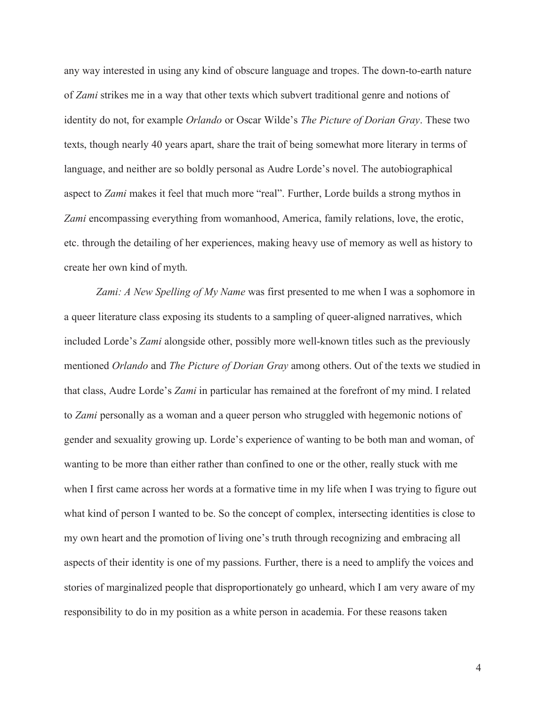any way interested in using any kind of obscure language and tropes. The down-to-earth nature of *Zami* strikes me in a way that other texts which subvert traditional genre and notions of identity do not, for example *Orlando* or Oscar Wilde's *The Picture of Dorian Gray*. These two texts, though nearly 40 years apart, share the trait of being somewhat more literary in terms of language, and neither are so boldly personal as Audre Lorde's novel. The autobiographical aspect to *Zami* makes it feel that much more "real". Further, Lorde builds a strong mythos in Zami encompassing everything from womanhood, America, family relations, love, the erotic, etc. through the detailing of her experiences, making heavy use of memory as well as history to create her own kind of myth.

*Zami: A New Spelling of My Name* was first presented to me when I was a sophomore in a queer literature class exposing its students to a sampling of queer-aligned narratives, which included Lorde's *Zami* alongside other, possibly more well-known titles such as the previously mentioned *Orlando* and *The Picture of Dorian Gray* among others. Out of the texts we studied in that class, Audre Lorde's *Zami* in particular has remained at the forefront of my mind. I related to *Zami* personally as a woman and a queer person who struggled with hegemonic notions of gender and sexuality growing up. Lorde's experience of wanting to be both man and woman, of wanting to be more than either rather than confined to one or the other, really stuck with me when I first came across her words at a formative time in my life when I was trying to figure out what kind of person I wanted to be. So the concept of complex, intersecting identities is close to my own heart and the promotion of living one's truth through recognizing and embracing all aspects of their identity is one of my passions. Further, there is a need to amplify the voices and stories of marginalized people that disproportionately go unheard, which I am very aware of my responsibility to do in my position as a white person in academia. For these reasons taken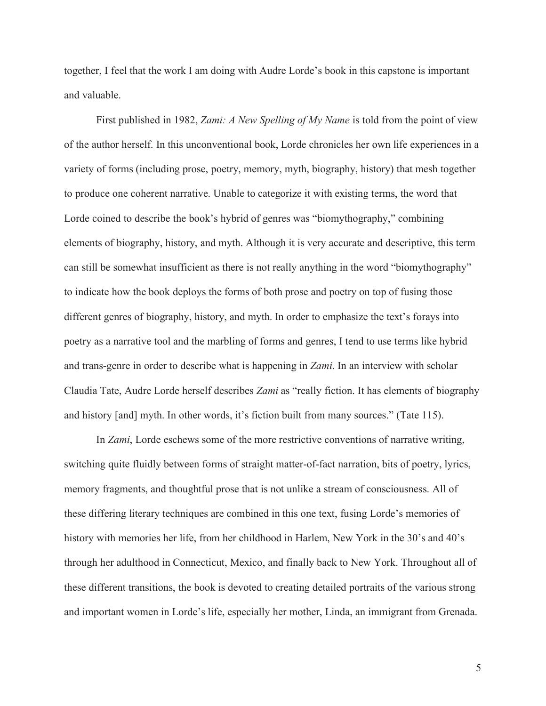together, I feel that the work I am doing with Audre Lorde's book in this capstone is important and valuable.

First published in 1982, *Zami: A New Spelling of My Name* is told from the point of view of the author herself. In this unconventional book, Lorde chronicles her own life experiences in a variety of forms (including prose, poetry, memory, myth, biography, history) that mesh together to produce one coherent narrative. Unable to categorize it with existing terms, the word that Lorde coined to describe the book's hybrid of genres was "biomythography," combining elements of biography, history, and myth. Although it is very accurate and descriptive, this term can still be somewhat insufficient as there is not really anything in the word "biomythography" to indicate how the book deploys the forms of both prose and poetry on top of fusing those different genres of biography, history, and myth. In order to emphasize the text's forays into poetry as a narrative tool and the marbling of forms and genres, I tend to use terms like hybrid and trans-genre in order to describe what is happening in *Zami*. In an interview with scholar Claudia Tate, Audre Lorde herself describes *Zami* as "really fiction. It has elements of biography and history [and] myth. In other words, it's fiction built from many sources." (Tate 115).

In *Zami*, Lorde eschews some of the more restrictive conventions of narrative writing, switching quite fluidly between forms of straight matter-of-fact narration, bits of poetry, lyrics, memory fragments, and thoughtful prose that is not unlike a stream of consciousness. All of these differing literary techniques are combined in this one text, fusing Lorde's memories of history with memories her life, from her childhood in Harlem, New York in the 30's and 40's through her adulthood in Connecticut, Mexico, and finally back to New York. Throughout all of these different transitions, the book is devoted to creating detailed portraits of the various strong and important women in Lorde's life, especially her mother, Linda, an immigrant from Grenada.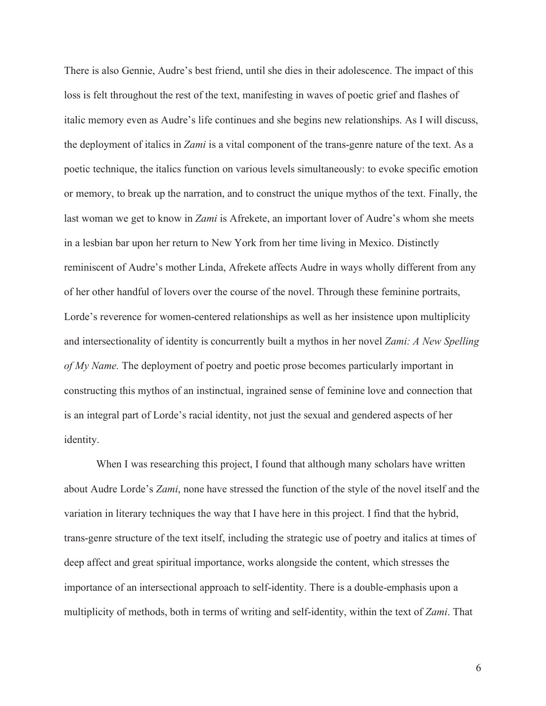There is also Gennie, Audre's best friend, until she dies in their adolescence. The impact of this loss is felt throughout the rest of the text, manifesting in waves of poetic grief and flashes of italic memory even as Audre's life continues and she begins new relationships. As I will discuss, the deployment of italics in *Zami* is a vital component of the trans-genre nature of the text. As a poetic technique, the italics function on various levels simultaneously: to evoke specific emotion or memory, to break up the narration, and to construct the unique mythos of the text. Finally, the last woman we get to know in *Zami* is Afrekete, an important lover of Audre's whom she meets in a lesbian bar upon her return to New York from her time living in Mexico. Distinctly reminiscent of Audre's mother Linda, Afrekete affects Audre in ways wholly different from any of her other handful of lovers over the course of the novel. Through these feminine portraits, Lorde's reverence for women-centered relationships as well as her insistence upon multiplicity and intersectionality of identity is concurrently built a mythos in her novel *Zami: A New Spelling of My Name.* The deployment of poetry and poetic prose becomes particularly important in constructing this mythos of an instinctual, ingrained sense of feminine love and connection that is an integral part of Lorde's racial identity, not just the sexual and gendered aspects of her identity.

When I was researching this project, I found that although many scholars have written about Audre Lorde's *Zami*, none have stressed the function of the style of the novel itself and the variation in literary techniques the way that I have here in this project. I find that the hybrid, trans-genre structure of the text itself, including the strategic use of poetry and italics at times of deep affect and great spiritual importance, works alongside the content, which stresses the importance of an intersectional approach to self-identity. There is a double-emphasis upon a multiplicity of methods, both in terms of writing and self-identity, within the text of *Zami*. That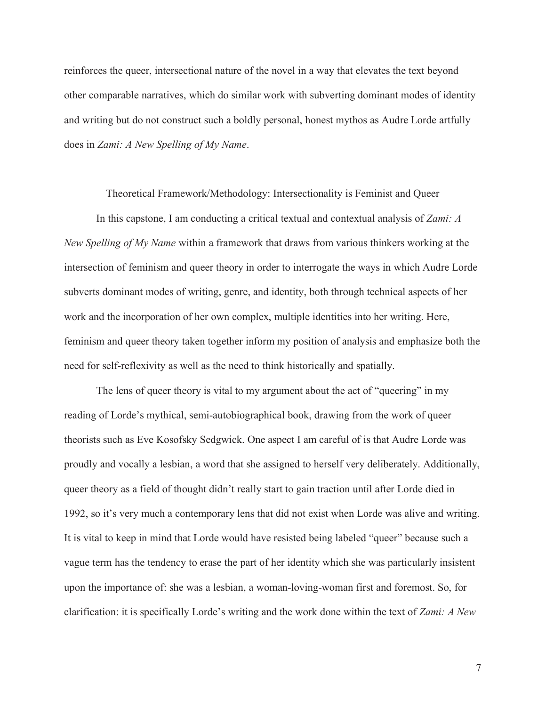reinforces the queer, intersectional nature of the novel in a way that elevates the text beyond other comparable narratives, which do similar work with subverting dominant modes of identity and writing but do not construct such a boldly personal, honest mythos as Audre Lorde artfully does in *Zami: A New Spelling of My Name*.

Theoretical Framework/Methodology: Intersectionality is Feminist and Queer

In this capstone, I am conducting a critical textual and contextual analysis of *Zami: A New Spelling of My Name* within a framework that draws from various thinkers working at the intersection of feminism and queer theory in order to interrogate the ways in which Audre Lorde subverts dominant modes of writing, genre, and identity, both through technical aspects of her work and the incorporation of her own complex, multiple identities into her writing. Here, feminism and queer theory taken together inform my position of analysis and emphasize both the need for self-reflexivity as well as the need to think historically and spatially.

The lens of queer theory is vital to my argument about the act of "queering" in my reading of Lorde's mythical, semi-autobiographical book, drawing from the work of queer theorists such as Eve Kosofsky Sedgwick. One aspect I am careful of is that Audre Lorde was proudly and vocally a lesbian, a word that she assigned to herself very deliberately. Additionally, queer theory as a field of thought didn't really start to gain traction until after Lorde died in 1992, so it's very much a contemporary lens that did not exist when Lorde was alive and writing. It is vital to keep in mind that Lorde would have resisted being labeled "queer" because such a vague term has the tendency to erase the part of her identity which she was particularly insistent upon the importance of: she was a lesbian, a woman-loving-woman first and foremost. So, for clarification: it is specifically Lorde's writing and the work done within the text of *Zami: A New*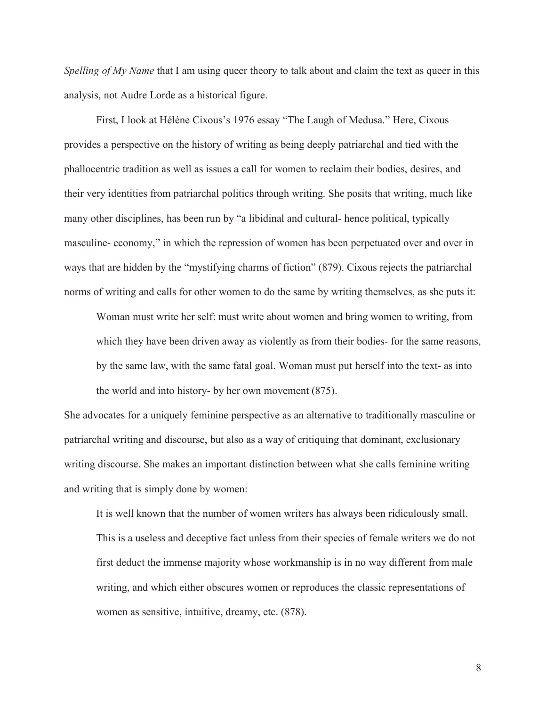*Spelling of My Name* that I am using queer theory to talk about and claim the text as queer in this analysis, not Audre Lorde as a historical figure.

First, I look at Hélène Cixous's 1976 essay "The Laugh of Medusa." Here, Cixous provides a perspective on the history of writing as being deeply patriarchal and tied with the phallocentric tradition as well as issues a call for women to reclaim their bodies, desires, and their very identities from patriarchal politics through writing. She posits that writing, much like many other disciplines, has been run by "a libidinal and cultural- hence political, typically masculine- economy," in which the repression of women has been perpetuated over and over in ways that are hidden by the "mystifying charms of fiction" (879). Cixous rejects the patriarchal norms of writing and calls for other women to do the same by writing themselves, as she puts it:

Woman must write her self: must write about women and bring women to writing, from which they have been driven away as violently as from their bodies- for the same reasons, by the same law, with the same fatal goal. Woman must put herself into the text- as into the world and into history- by her own movement (875).

She advocates for a uniquely feminine perspective as an alternative to traditionally masculine or patriarchal writing and discourse, but also as a way of critiquing that dominant, exclusionary writing discourse. She makes an important distinction between what she calls feminine writing and writing that is simply done by women:

It is well known that the number of women writers has always been ridiculously small. This is a useless and deceptive fact unless from their species of female writers we do not first deduct the immense majority whose workmanship is in no way different from male writing, and which either obscures women or reproduces the classic representations of women as sensitive, intuitive, dreamy, etc. (878).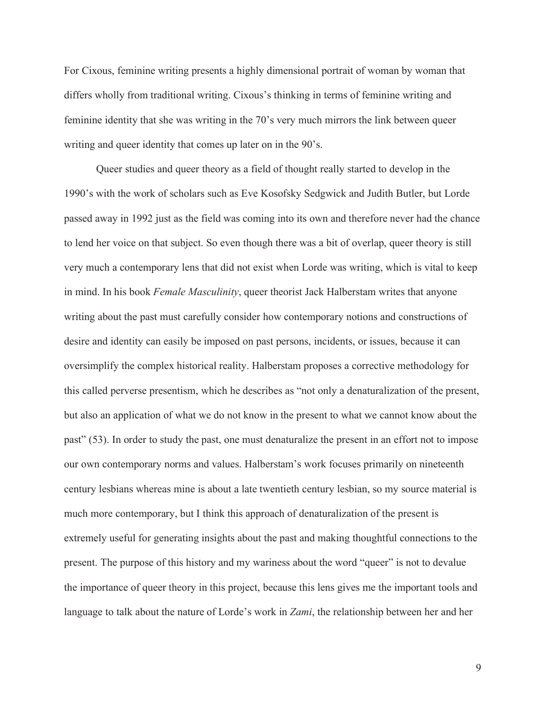For Cixous, feminine writing presents a highly dimensional portrait of woman by woman that differs wholly from traditional writing. Cixous's thinking in terms of feminine writing and feminine identity that she was writing in the 70's very much mirrors the link between queer writing and queer identity that comes up later on in the 90's.

Queer studies and queer theory as a field of thought really started to develop in the 1990's with the work of scholars such as Eve Kosofsky Sedgwick and Judith Butler, but Lorde passed away in 1992 just as the field was coming into its own and therefore never had the chance to lend her voice on that subject. So even though there was a bit of overlap, queer theory is still very much a contemporary lens that did not exist when Lorde was writing, which is vital to keep in mind. In his book *Female Masculinity*, queer theorist Jack Halberstam writes that anyone writing about the past must carefully consider how contemporary notions and constructions of desire and identity can easily be imposed on past persons, incidents, or issues, because it can oversimplify the complex historical reality. Halberstam proposes a corrective methodology for this called perverse presentism, which he describes as "not only a denaturalization of the present, but also an application of what we do not know in the present to what we cannot know about the past" (53). In order to study the past, one must denaturalize the present in an effort not to impose our own contemporary norms and values. Halberstam's work focuses primarily on nineteenth century lesbians whereas mine is about a late twentieth century lesbian, so my source material is much more contemporary, but I think this approach of denaturalization of the present is extremely useful for generating insights about the past and making thoughtful connections to the present. The purpose of this history and my wariness about the word "queer" is not to devalue the importance of queer theory in this project, because this lens gives me the important tools and language to talk about the nature of Lorde's work in *Zami*, the relationship between her and her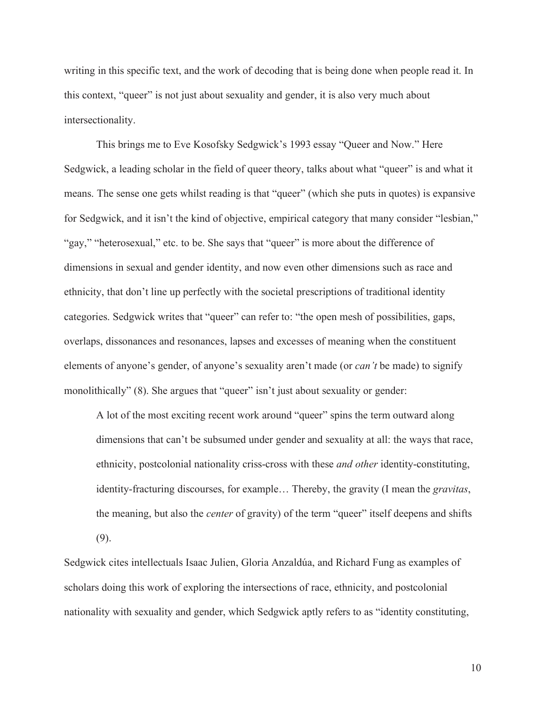writing in this specific text, and the work of decoding that is being done when people read it. In this context, "queer" is not just about sexuality and gender, it is also very much about intersectionality.

This brings me to Eve Kosofsky Sedgwick's 1993 essay "Queer and Now." Here Sedgwick, a leading scholar in the field of queer theory, talks about what "queer" is and what it means. The sense one gets whilst reading is that "queer" (which she puts in quotes) is expansive for Sedgwick, and it isn't the kind of objective, empirical category that many consider "lesbian," "gay," "heterosexual," etc. to be. She says that "queer" is more about the difference of dimensions in sexual and gender identity, and now even other dimensions such as race and ethnicity, that don't line up perfectly with the societal prescriptions of traditional identity categories. Sedgwick writes that "queer" can refer to: "the open mesh of possibilities, gaps, overlaps, dissonances and resonances, lapses and excesses of meaning when the constituent elements of anyone's gender, of anyone's sexuality aren't made (or *can't* be made) to signify monolithically" (8). She argues that "queer" isn't just about sexuality or gender:

A lot of the most exciting recent work around "queer" spins the term outward along dimensions that can't be subsumed under gender and sexuality at all: the ways that race, ethnicity, postcolonial nationality criss-cross with these *and other* identity-constituting, identity-fracturing discourses, for example… Thereby, the gravity (I mean the *gravitas*, the meaning, but also the *center* of gravity) of the term "queer" itself deepens and shifts (9).

Sedgwick cites intellectuals Isaac Julien, Gloria Anzaldúa, and Richard Fung as examples of scholars doing this work of exploring the intersections of race, ethnicity, and postcolonial nationality with sexuality and gender, which Sedgwick aptly refers to as "identity constituting,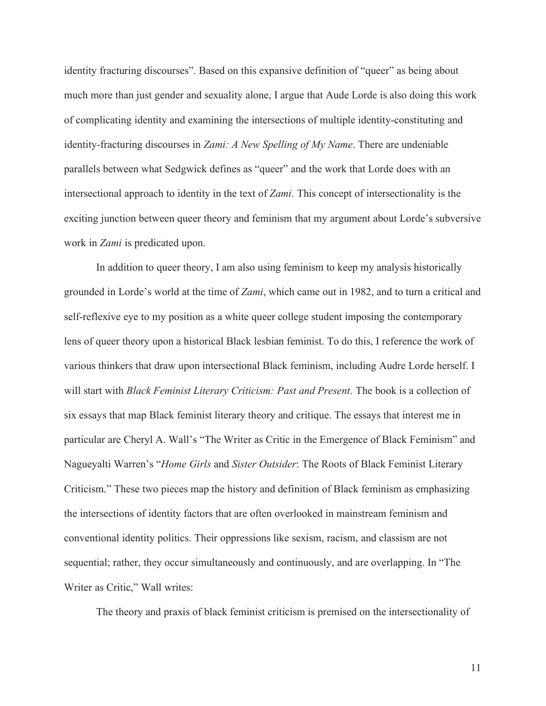identity fracturing discourses". Based on this expansive definition of "queer" as being about much more than just gender and sexuality alone, I argue that Aude Lorde is also doing this work of complicating identity and examining the intersections of multiple identity-constituting and identity-fracturing discourses in *Zami: A New Spelling of My Name*. There are undeniable parallels between what Sedgwick defines as "queer" and the work that Lorde does with an intersectional approach to identity in the text of *Zami*. This concept of intersectionality is the exciting junction between queer theory and feminism that my argument about Lorde's subversive work in *Zami* is predicated upon.

In addition to queer theory, I am also using feminism to keep my analysis historically grounded in Lorde's world at the time of *Zami*, which came out in 1982, and to turn a critical and self-reflexive eye to my position as a white queer college student imposing the contemporary lens of queer theory upon a historical Black lesbian feminist. To do this, I reference the work of various thinkers that draw upon intersectional Black feminism, including Audre Lorde herself. I will start with *Black Feminist Literary Criticism: Past and Present*. The book is a collection of six essays that map Black feminist literary theory and critique. The essays that interest me in particular are Cheryl A. Wall's "The Writer as Critic in the Emergence of Black Feminism" and Nagueyalti Warren's "*Home Girls* and *Sister Outsider*: The Roots of Black Feminist Literary Criticism." These two pieces map the history and definition of Black feminism as emphasizing the intersections of identity factors that are often overlooked in mainstream feminism and conventional identity politics. Their oppressions like sexism, racism, and classism are not sequential; rather, they occur simultaneously and continuously, and are overlapping. In "The Writer as Critic," Wall writes:

The theory and praxis of black feminist criticism is premised on the intersectionality of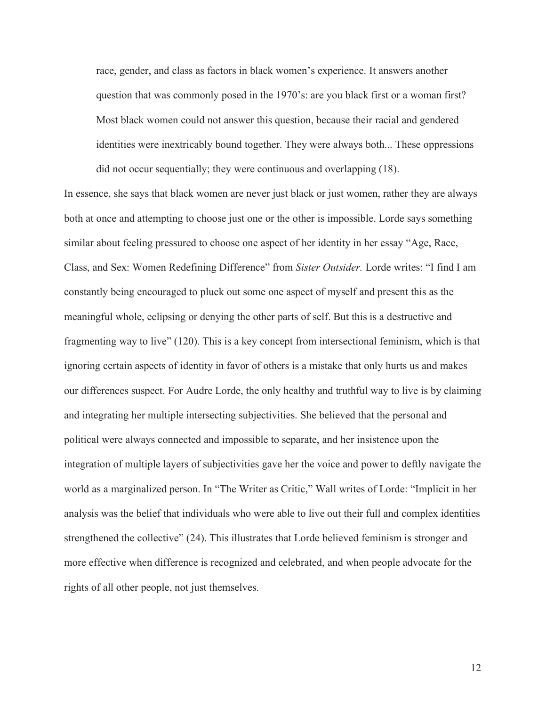race, gender, and class as factors in black women's experience. It answers another question that was commonly posed in the 1970's: are you black first or a woman first? Most black women could not answer this question, because their racial and gendered identities were inextricably bound together. They were always both... These oppressions did not occur sequentially; they were continuous and overlapping (18).

In essence, she says that black women are never just black or just women, rather they are always both at once and attempting to choose just one or the other is impossible. Lorde says something similar about feeling pressured to choose one aspect of her identity in her essay "Age, Race, Class, and Sex: Women Redefining Difference" from *Sister Outsider.* Lorde writes: "I find I am constantly being encouraged to pluck out some one aspect of myself and present this as the meaningful whole, eclipsing or denying the other parts of self. But this is a destructive and fragmenting way to live" (120). This is a key concept from intersectional feminism, which is that ignoring certain aspects of identity in favor of others is a mistake that only hurts us and makes our differences suspect. For Audre Lorde, the only healthy and truthful way to live is by claiming and integrating her multiple intersecting subjectivities. She believed that the personal and political were always connected and impossible to separate, and her insistence upon the integration of multiple layers of subjectivities gave her the voice and power to deftly navigate the world as a marginalized person. In "The Writer as Critic," Wall writes of Lorde: "Implicit in her analysis was the belief that individuals who were able to live out their full and complex identities strengthened the collective" (24). This illustrates that Lorde believed feminism is stronger and more effective when difference is recognized and celebrated, and when people advocate for the rights of all other people, not just themselves.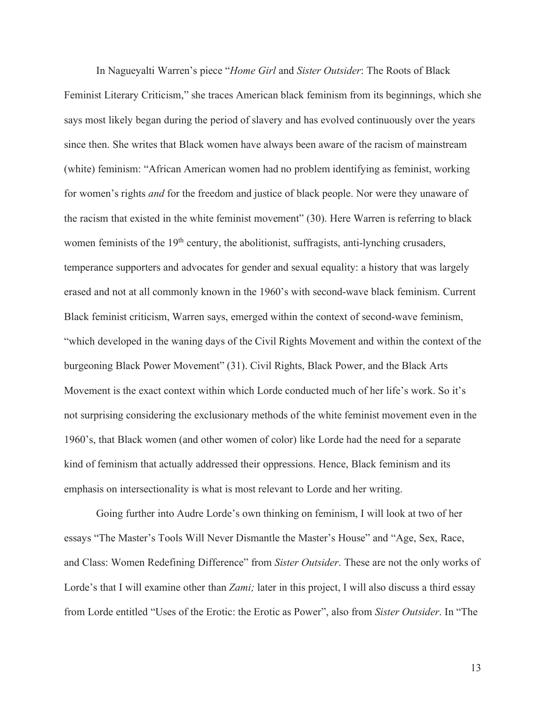In Nagueyalti Warren's piece "*Home Girl* and *Sister Outsider*: The Roots of Black Feminist Literary Criticism," she traces American black feminism from its beginnings, which she says most likely began during the period of slavery and has evolved continuously over the years since then. She writes that Black women have always been aware of the racism of mainstream (white) feminism: "African American women had no problem identifying as feminist, working for women's rights *and* for the freedom and justice of black people. Nor were they unaware of the racism that existed in the white feminist movement" (30). Here Warren is referring to black women feminists of the 19<sup>th</sup> century, the abolitionist, suffragists, anti-lynching crusaders, temperance supporters and advocates for gender and sexual equality: a history that was largely erased and not at all commonly known in the 1960's with second-wave black feminism. Current Black feminist criticism, Warren says, emerged within the context of second-wave feminism, "which developed in the waning days of the Civil Rights Movement and within the context of the burgeoning Black Power Movement" (31). Civil Rights, Black Power, and the Black Arts Movement is the exact context within which Lorde conducted much of her life's work. So it's not surprising considering the exclusionary methods of the white feminist movement even in the 1960's, that Black women (and other women of color) like Lorde had the need for a separate kind of feminism that actually addressed their oppressions. Hence, Black feminism and its emphasis on intersectionality is what is most relevant to Lorde and her writing.

Going further into Audre Lorde's own thinking on feminism, I will look at two of her essays "The Master's Tools Will Never Dismantle the Master's House" and "Age, Sex, Race, and Class: Women Redefining Difference" from *Sister Outsider*. These are not the only works of Lorde's that I will examine other than *Zami;* later in this project, I will also discuss a third essay from Lorde entitled "Uses of the Erotic: the Erotic as Power", also from *Sister Outsider*. In "The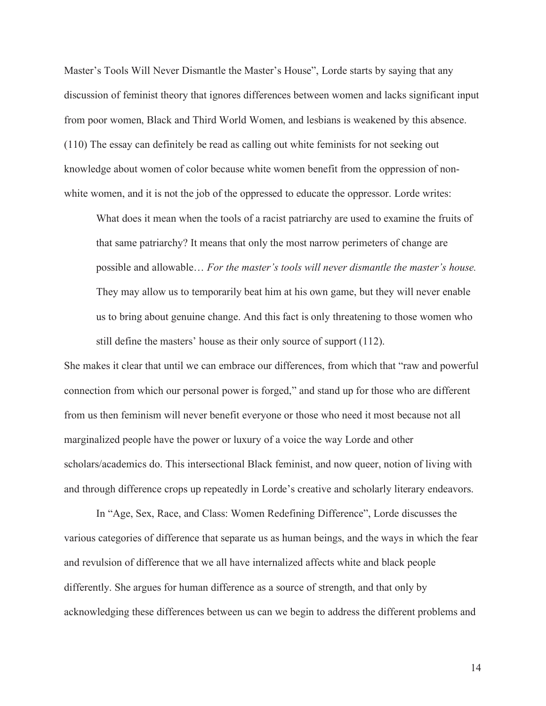Master's Tools Will Never Dismantle the Master's House", Lorde starts by saying that any discussion of feminist theory that ignores differences between women and lacks significant input from poor women, Black and Third World Women, and lesbians is weakened by this absence. (110) The essay can definitely be read as calling out white feminists for not seeking out knowledge about women of color because white women benefit from the oppression of nonwhite women, and it is not the job of the oppressed to educate the oppressor. Lorde writes:

What does it mean when the tools of a racist patriarchy are used to examine the fruits of that same patriarchy? It means that only the most narrow perimeters of change are possible and allowable… *For the master's tools will never dismantle the master's house.* They may allow us to temporarily beat him at his own game, but they will never enable us to bring about genuine change. And this fact is only threatening to those women who still define the masters' house as their only source of support (112).

She makes it clear that until we can embrace our differences, from which that "raw and powerful connection from which our personal power is forged," and stand up for those who are different from us then feminism will never benefit everyone or those who need it most because not all marginalized people have the power or luxury of a voice the way Lorde and other scholars/academics do. This intersectional Black feminist, and now queer, notion of living with and through difference crops up repeatedly in Lorde's creative and scholarly literary endeavors.

In "Age, Sex, Race, and Class: Women Redefining Difference", Lorde discusses the various categories of difference that separate us as human beings, and the ways in which the fear and revulsion of difference that we all have internalized affects white and black people differently. She argues for human difference as a source of strength, and that only by acknowledging these differences between us can we begin to address the different problems and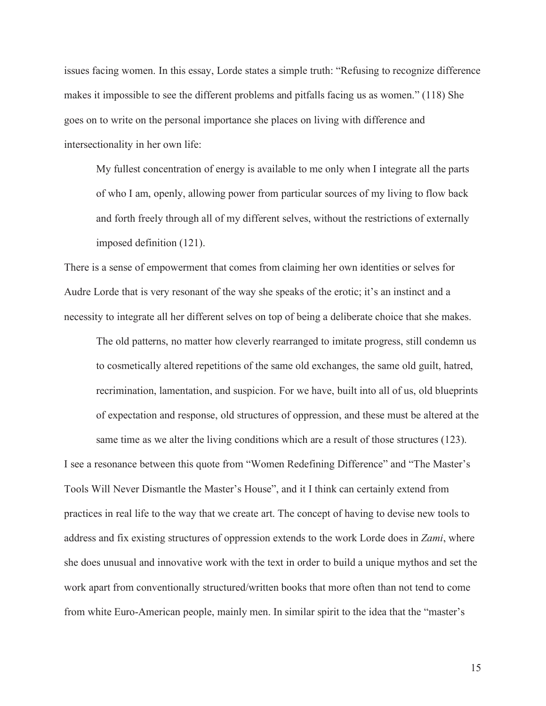issues facing women. In this essay, Lorde states a simple truth: "Refusing to recognize difference makes it impossible to see the different problems and pitfalls facing us as women." (118) She goes on to write on the personal importance she places on living with difference and intersectionality in her own life:

My fullest concentration of energy is available to me only when I integrate all the parts of who I am, openly, allowing power from particular sources of my living to flow back and forth freely through all of my different selves, without the restrictions of externally imposed definition (121).

There is a sense of empowerment that comes from claiming her own identities or selves for Audre Lorde that is very resonant of the way she speaks of the erotic; it's an instinct and a necessity to integrate all her different selves on top of being a deliberate choice that she makes.

The old patterns, no matter how cleverly rearranged to imitate progress, still condemn us to cosmetically altered repetitions of the same old exchanges, the same old guilt, hatred, recrimination, lamentation, and suspicion. For we have, built into all of us, old blueprints of expectation and response, old structures of oppression, and these must be altered at the same time as we alter the living conditions which are a result of those structures (123).

I see a resonance between this quote from "Women Redefining Difference" and "The Master's Tools Will Never Dismantle the Master's House", and it I think can certainly extend from practices in real life to the way that we create art. The concept of having to devise new tools to address and fix existing structures of oppression extends to the work Lorde does in *Zami*, where she does unusual and innovative work with the text in order to build a unique mythos and set the work apart from conventionally structured/written books that more often than not tend to come from white Euro-American people, mainly men. In similar spirit to the idea that the "master's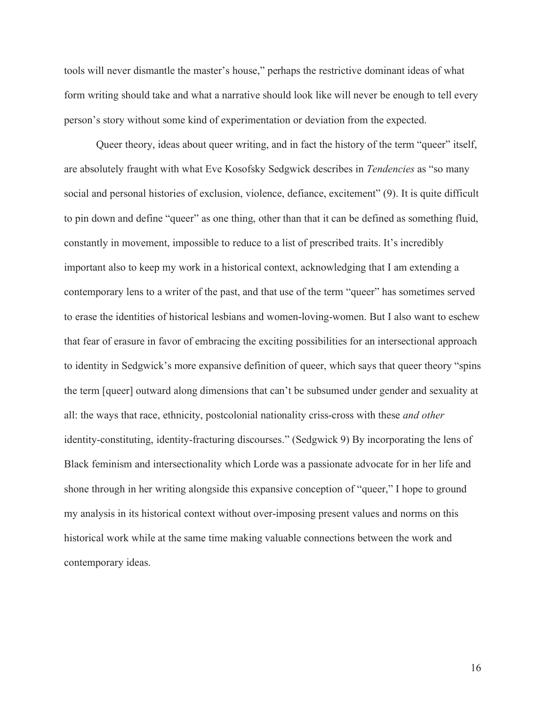tools will never dismantle the master's house," perhaps the restrictive dominant ideas of what form writing should take and what a narrative should look like will never be enough to tell every person's story without some kind of experimentation or deviation from the expected.

Queer theory, ideas about queer writing, and in fact the history of the term "queer" itself, are absolutely fraught with what Eve Kosofsky Sedgwick describes in *Tendencies* as "so many social and personal histories of exclusion, violence, defiance, excitement" (9). It is quite difficult to pin down and define "queer" as one thing, other than that it can be defined as something fluid, constantly in movement, impossible to reduce to a list of prescribed traits. It's incredibly important also to keep my work in a historical context, acknowledging that I am extending a contemporary lens to a writer of the past, and that use of the term "queer" has sometimes served to erase the identities of historical lesbians and women-loving-women. But I also want to eschew that fear of erasure in favor of embracing the exciting possibilities for an intersectional approach to identity in Sedgwick's more expansive definition of queer, which says that queer theory "spins the term [queer] outward along dimensions that can't be subsumed under gender and sexuality at all: the ways that race, ethnicity, postcolonial nationality criss-cross with these *and other*  identity-constituting, identity-fracturing discourses." (Sedgwick 9) By incorporating the lens of Black feminism and intersectionality which Lorde was a passionate advocate for in her life and shone through in her writing alongside this expansive conception of "queer," I hope to ground my analysis in its historical context without over-imposing present values and norms on this historical work while at the same time making valuable connections between the work and contemporary ideas.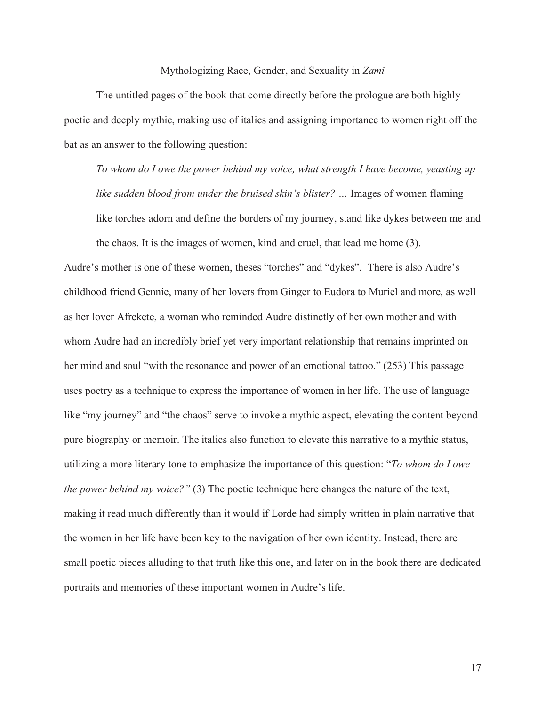#### Mythologizing Race, Gender, and Sexuality in *Zami*

The untitled pages of the book that come directly before the prologue are both highly poetic and deeply mythic, making use of italics and assigning importance to women right off the bat as an answer to the following question:

*To whom do I owe the power behind my voice, what strength I have become, yeasting up like sudden blood from under the bruised skin's blister? …* Images of women flaming like torches adorn and define the borders of my journey, stand like dykes between me and the chaos. It is the images of women, kind and cruel, that lead me home (3).

Audre's mother is one of these women, theses "torches" and "dykes". There is also Audre's childhood friend Gennie, many of her lovers from Ginger to Eudora to Muriel and more, as well as her lover Afrekete, a woman who reminded Audre distinctly of her own mother and with whom Audre had an incredibly brief yet very important relationship that remains imprinted on her mind and soul "with the resonance and power of an emotional tattoo." (253) This passage uses poetry as a technique to express the importance of women in her life. The use of language like "my journey" and "the chaos" serve to invoke a mythic aspect, elevating the content beyond pure biography or memoir. The italics also function to elevate this narrative to a mythic status, utilizing a more literary tone to emphasize the importance of this question: "*To whom do I owe the power behind my voice?"* (3) The poetic technique here changes the nature of the text, making it read much differently than it would if Lorde had simply written in plain narrative that the women in her life have been key to the navigation of her own identity. Instead, there are small poetic pieces alluding to that truth like this one, and later on in the book there are dedicated portraits and memories of these important women in Audre's life.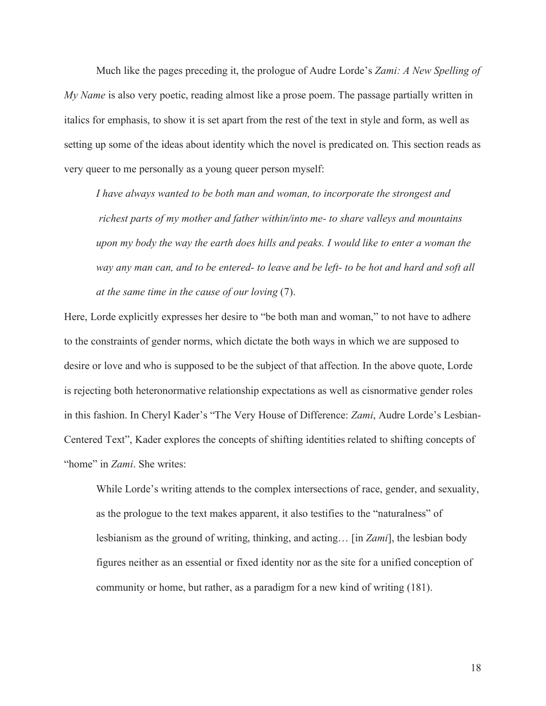Much like the pages preceding it, the prologue of Audre Lorde's *Zami: A New Spelling of My Name* is also very poetic, reading almost like a prose poem. The passage partially written in italics for emphasis, to show it is set apart from the rest of the text in style and form, as well as setting up some of the ideas about identity which the novel is predicated on. This section reads as very queer to me personally as a young queer person myself:

*I have always wanted to be both man and woman, to incorporate the strongest and richest parts of my mother and father within/into me- to share valleys and mountains upon my body the way the earth does hills and peaks. I would like to enter a woman the way any man can, and to be entered- to leave and be left- to be hot and hard and soft all at the same time in the cause of our loving* (7).

Here, Lorde explicitly expresses her desire to "be both man and woman," to not have to adhere to the constraints of gender norms, which dictate the both ways in which we are supposed to desire or love and who is supposed to be the subject of that affection. In the above quote, Lorde is rejecting both heteronormative relationship expectations as well as cisnormative gender roles in this fashion. In Cheryl Kader's "The Very House of Difference: *Zami*, Audre Lorde's Lesbian-Centered Text", Kader explores the concepts of shifting identities related to shifting concepts of "home" in *Zami*. She writes:

 While Lorde's writing attends to the complex intersections of race, gender, and sexuality, as the prologue to the text makes apparent, it also testifies to the "naturalness" of lesbianism as the ground of writing, thinking, and acting… [in *Zami*], the lesbian body figures neither as an essential or fixed identity nor as the site for a unified conception of community or home, but rather, as a paradigm for a new kind of writing (181).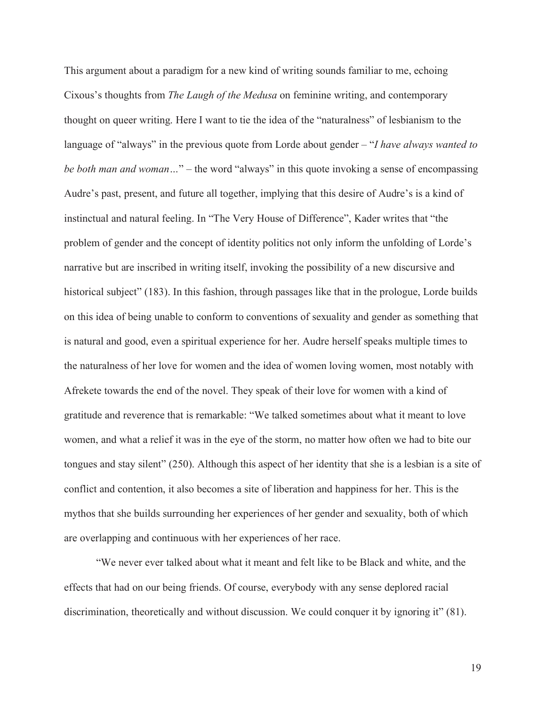This argument about a paradigm for a new kind of writing sounds familiar to me, echoing Cixous's thoughts from *The Laugh of the Medusa* on feminine writing, and contemporary thought on queer writing. Here I want to tie the idea of the "naturalness" of lesbianism to the language of "always" in the previous quote from Lorde about gender – "*I have always wanted to be both man and woman…*" – the word "always" in this quote invoking a sense of encompassing Audre's past, present, and future all together, implying that this desire of Audre's is a kind of instinctual and natural feeling. In "The Very House of Difference", Kader writes that "the problem of gender and the concept of identity politics not only inform the unfolding of Lorde's narrative but are inscribed in writing itself, invoking the possibility of a new discursive and historical subject" (183). In this fashion, through passages like that in the prologue, Lorde builds on this idea of being unable to conform to conventions of sexuality and gender as something that is natural and good, even a spiritual experience for her. Audre herself speaks multiple times to the naturalness of her love for women and the idea of women loving women, most notably with Afrekete towards the end of the novel. They speak of their love for women with a kind of gratitude and reverence that is remarkable: "We talked sometimes about what it meant to love women, and what a relief it was in the eye of the storm, no matter how often we had to bite our tongues and stay silent" (250). Although this aspect of her identity that she is a lesbian is a site of conflict and contention, it also becomes a site of liberation and happiness for her. This is the mythos that she builds surrounding her experiences of her gender and sexuality, both of which are overlapping and continuous with her experiences of her race.

 "We never ever talked about what it meant and felt like to be Black and white, and the effects that had on our being friends. Of course, everybody with any sense deplored racial discrimination, theoretically and without discussion. We could conquer it by ignoring it" (81).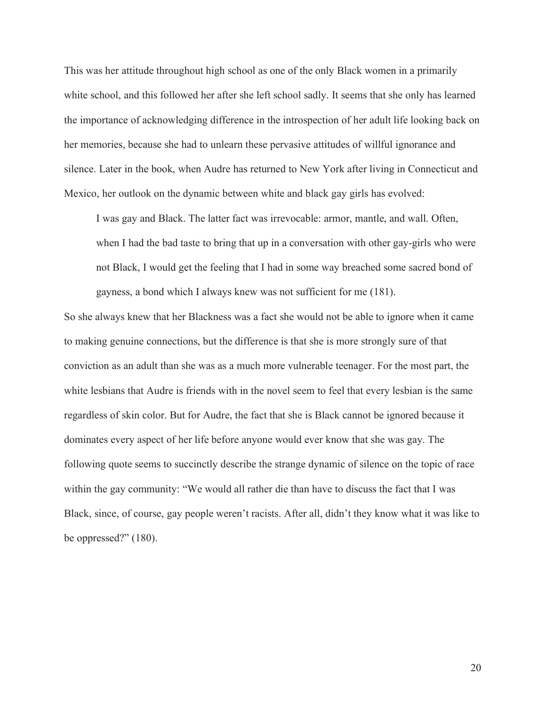This was her attitude throughout high school as one of the only Black women in a primarily white school, and this followed her after she left school sadly. It seems that she only has learned the importance of acknowledging difference in the introspection of her adult life looking back on her memories, because she had to unlearn these pervasive attitudes of willful ignorance and silence. Later in the book, when Audre has returned to New York after living in Connecticut and Mexico, her outlook on the dynamic between white and black gay girls has evolved:

I was gay and Black. The latter fact was irrevocable: armor, mantle, and wall. Often, when I had the bad taste to bring that up in a conversation with other gay-girls who were not Black, I would get the feeling that I had in some way breached some sacred bond of gayness, a bond which I always knew was not sufficient for me (181).

So she always knew that her Blackness was a fact she would not be able to ignore when it came to making genuine connections, but the difference is that she is more strongly sure of that conviction as an adult than she was as a much more vulnerable teenager. For the most part, the white lesbians that Audre is friends with in the novel seem to feel that every lesbian is the same regardless of skin color. But for Audre, the fact that she is Black cannot be ignored because it dominates every aspect of her life before anyone would ever know that she was gay. The following quote seems to succinctly describe the strange dynamic of silence on the topic of race within the gay community: "We would all rather die than have to discuss the fact that I was Black, since, of course, gay people weren't racists. After all, didn't they know what it was like to be oppressed?" (180).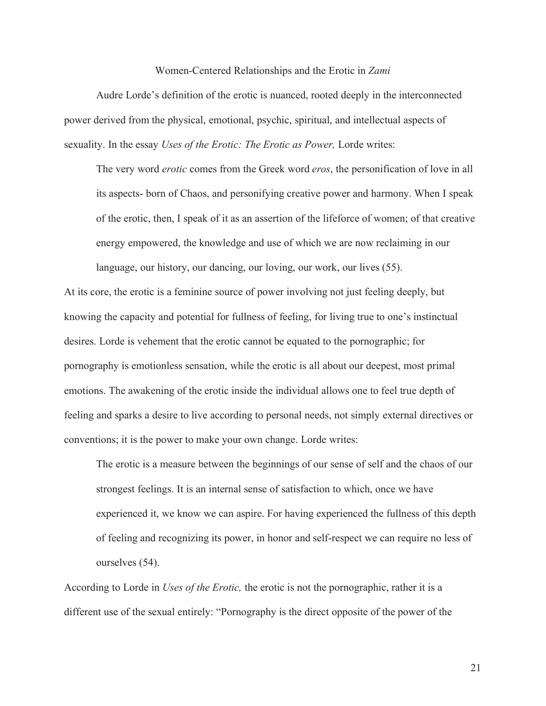Women-Centered Relationships and the Erotic in *Zami* 

Audre Lorde's definition of the erotic is nuanced, rooted deeply in the interconnected power derived from the physical, emotional, psychic, spiritual, and intellectual aspects of sexuality. In the essay *Uses of the Erotic: The Erotic as Power,* Lorde writes:

The very word *erotic* comes from the Greek word *eros*, the personification of love in all its aspects- born of Chaos, and personifying creative power and harmony. When I speak of the erotic, then, I speak of it as an assertion of the lifeforce of women; of that creative energy empowered, the knowledge and use of which we are now reclaiming in our language, our history, our dancing, our loving, our work, our lives (55).

At its core, the erotic is a feminine source of power involving not just feeling deeply, but knowing the capacity and potential for fullness of feeling, for living true to one's instinctual desires. Lorde is vehement that the erotic cannot be equated to the pornographic; for pornography is emotionless sensation, while the erotic is all about our deepest, most primal emotions. The awakening of the erotic inside the individual allows one to feel true depth of feeling and sparks a desire to live according to personal needs, not simply external directives or conventions; it is the power to make your own change. Lorde writes:

The erotic is a measure between the beginnings of our sense of self and the chaos of our strongest feelings. It is an internal sense of satisfaction to which, once we have experienced it, we know we can aspire. For having experienced the fullness of this depth of feeling and recognizing its power, in honor and self-respect we can require no less of ourselves (54).

According to Lorde in *Uses of the Erotic,* the erotic is not the pornographic, rather it is a different use of the sexual entirely: "Pornography is the direct opposite of the power of the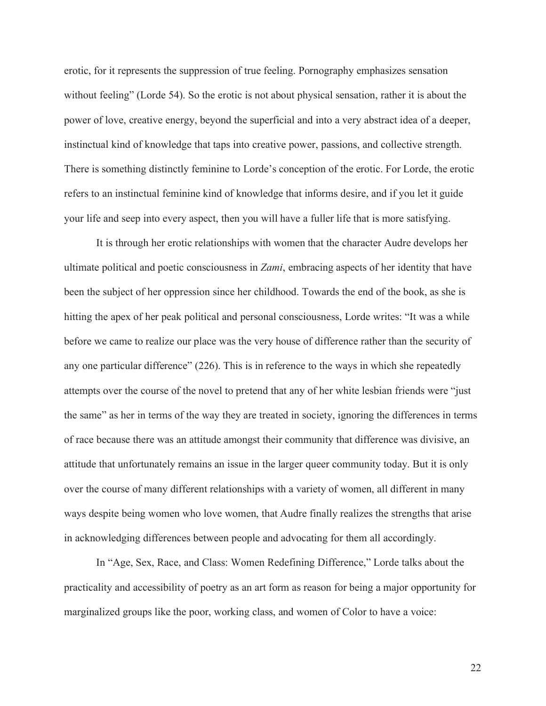erotic, for it represents the suppression of true feeling. Pornography emphasizes sensation without feeling" (Lorde 54). So the erotic is not about physical sensation, rather it is about the power of love, creative energy, beyond the superficial and into a very abstract idea of a deeper, instinctual kind of knowledge that taps into creative power, passions, and collective strength. There is something distinctly feminine to Lorde's conception of the erotic. For Lorde, the erotic refers to an instinctual feminine kind of knowledge that informs desire, and if you let it guide your life and seep into every aspect, then you will have a fuller life that is more satisfying.

It is through her erotic relationships with women that the character Audre develops her ultimate political and poetic consciousness in *Zami*, embracing aspects of her identity that have been the subject of her oppression since her childhood. Towards the end of the book, as she is hitting the apex of her peak political and personal consciousness, Lorde writes: "It was a while before we came to realize our place was the very house of difference rather than the security of any one particular difference" (226). This is in reference to the ways in which she repeatedly attempts over the course of the novel to pretend that any of her white lesbian friends were "just the same" as her in terms of the way they are treated in society, ignoring the differences in terms of race because there was an attitude amongst their community that difference was divisive, an attitude that unfortunately remains an issue in the larger queer community today. But it is only over the course of many different relationships with a variety of women, all different in many ways despite being women who love women, that Audre finally realizes the strengths that arise in acknowledging differences between people and advocating for them all accordingly.

In "Age, Sex, Race, and Class: Women Redefining Difference," Lorde talks about the practicality and accessibility of poetry as an art form as reason for being a major opportunity for marginalized groups like the poor, working class, and women of Color to have a voice: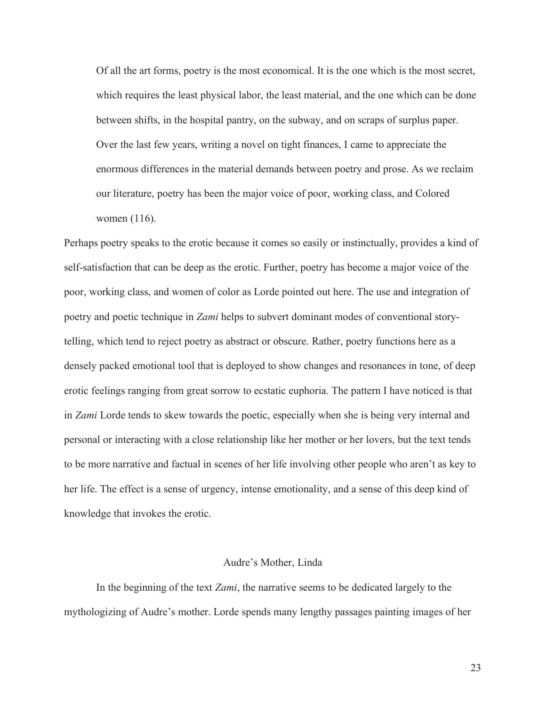Of all the art forms, poetry is the most economical. It is the one which is the most secret, which requires the least physical labor, the least material, and the one which can be done between shifts, in the hospital pantry, on the subway, and on scraps of surplus paper. Over the last few years, writing a novel on tight finances, I came to appreciate the enormous differences in the material demands between poetry and prose. As we reclaim our literature, poetry has been the major voice of poor, working class, and Colored women (116).

Perhaps poetry speaks to the erotic because it comes so easily or instinctually, provides a kind of self-satisfaction that can be deep as the erotic. Further, poetry has become a major voice of the poor, working class, and women of color as Lorde pointed out here. The use and integration of poetry and poetic technique in *Zami* helps to subvert dominant modes of conventional storytelling, which tend to reject poetry as abstract or obscure. Rather, poetry functions here as a densely packed emotional tool that is deployed to show changes and resonances in tone, of deep erotic feelings ranging from great sorrow to ecstatic euphoria. The pattern I have noticed is that in *Zami* Lorde tends to skew towards the poetic, especially when she is being very internal and personal or interacting with a close relationship like her mother or her lovers, but the text tends to be more narrative and factual in scenes of her life involving other people who aren't as key to her life. The effect is a sense of urgency, intense emotionality, and a sense of this deep kind of knowledge that invokes the erotic.

#### Audre's Mother, Linda

In the beginning of the text *Zami*, the narrative seems to be dedicated largely to the mythologizing of Audre's mother. Lorde spends many lengthy passages painting images of her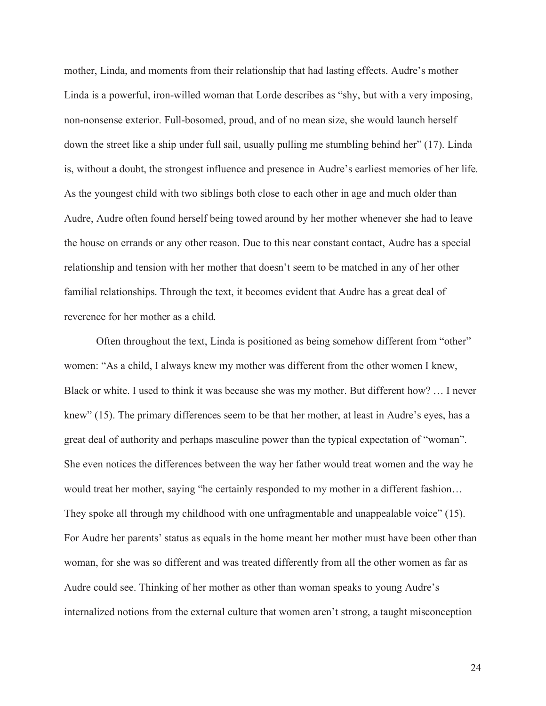mother, Linda, and moments from their relationship that had lasting effects. Audre's mother Linda is a powerful, iron-willed woman that Lorde describes as "shy, but with a very imposing, non-nonsense exterior. Full-bosomed, proud, and of no mean size, she would launch herself down the street like a ship under full sail, usually pulling me stumbling behind her" (17). Linda is, without a doubt, the strongest influence and presence in Audre's earliest memories of her life. As the youngest child with two siblings both close to each other in age and much older than Audre, Audre often found herself being towed around by her mother whenever she had to leave the house on errands or any other reason. Due to this near constant contact, Audre has a special relationship and tension with her mother that doesn't seem to be matched in any of her other familial relationships. Through the text, it becomes evident that Audre has a great deal of reverence for her mother as a child.

Often throughout the text, Linda is positioned as being somehow different from "other" women: "As a child, I always knew my mother was different from the other women I knew, Black or white. I used to think it was because she was my mother. But different how? … I never knew" (15). The primary differences seem to be that her mother, at least in Audre's eyes, has a great deal of authority and perhaps masculine power than the typical expectation of "woman". She even notices the differences between the way her father would treat women and the way he would treat her mother, saying "he certainly responded to my mother in a different fashion... They spoke all through my childhood with one unfragmentable and unappealable voice" (15). For Audre her parents' status as equals in the home meant her mother must have been other than woman, for she was so different and was treated differently from all the other women as far as Audre could see. Thinking of her mother as other than woman speaks to young Audre's internalized notions from the external culture that women aren't strong, a taught misconception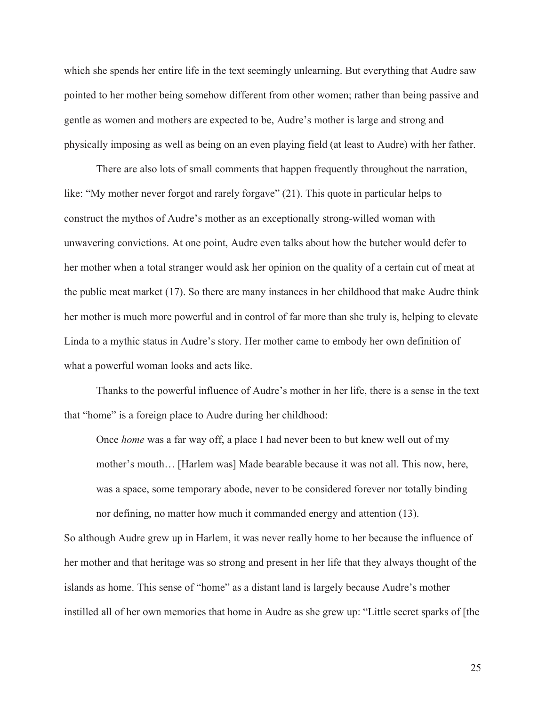which she spends her entire life in the text seemingly unlearning. But everything that Audre saw pointed to her mother being somehow different from other women; rather than being passive and gentle as women and mothers are expected to be, Audre's mother is large and strong and physically imposing as well as being on an even playing field (at least to Audre) with her father.

There are also lots of small comments that happen frequently throughout the narration, like: "My mother never forgot and rarely forgave" (21). This quote in particular helps to construct the mythos of Audre's mother as an exceptionally strong-willed woman with unwavering convictions. At one point, Audre even talks about how the butcher would defer to her mother when a total stranger would ask her opinion on the quality of a certain cut of meat at the public meat market (17). So there are many instances in her childhood that make Audre think her mother is much more powerful and in control of far more than she truly is, helping to elevate Linda to a mythic status in Audre's story. Her mother came to embody her own definition of what a powerful woman looks and acts like.

Thanks to the powerful influence of Audre's mother in her life, there is a sense in the text that "home" is a foreign place to Audre during her childhood:

Once *home* was a far way off, a place I had never been to but knew well out of my mother's mouth… [Harlem was] Made bearable because it was not all. This now, here, was a space, some temporary abode, never to be considered forever nor totally binding nor defining, no matter how much it commanded energy and attention (13).

So although Audre grew up in Harlem, it was never really home to her because the influence of her mother and that heritage was so strong and present in her life that they always thought of the islands as home. This sense of "home" as a distant land is largely because Audre's mother instilled all of her own memories that home in Audre as she grew up: "Little secret sparks of [the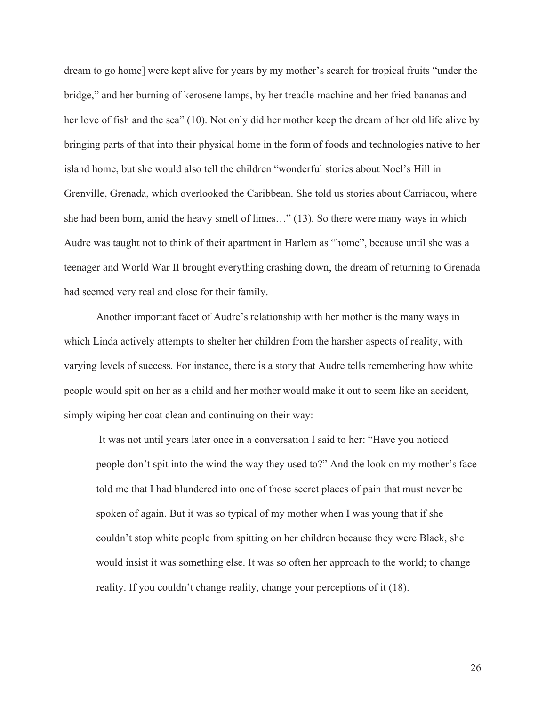dream to go home] were kept alive for years by my mother's search for tropical fruits "under the bridge," and her burning of kerosene lamps, by her treadle-machine and her fried bananas and her love of fish and the sea" (10). Not only did her mother keep the dream of her old life alive by bringing parts of that into their physical home in the form of foods and technologies native to her island home, but she would also tell the children "wonderful stories about Noel's Hill in Grenville, Grenada, which overlooked the Caribbean. She told us stories about Carriacou, where she had been born, amid the heavy smell of limes…" (13). So there were many ways in which Audre was taught not to think of their apartment in Harlem as "home", because until she was a teenager and World War II brought everything crashing down, the dream of returning to Grenada had seemed very real and close for their family.

Another important facet of Audre's relationship with her mother is the many ways in which Linda actively attempts to shelter her children from the harsher aspects of reality, with varying levels of success. For instance, there is a story that Audre tells remembering how white people would spit on her as a child and her mother would make it out to seem like an accident, simply wiping her coat clean and continuing on their way:

 It was not until years later once in a conversation I said to her: "Have you noticed people don't spit into the wind the way they used to?" And the look on my mother's face told me that I had blundered into one of those secret places of pain that must never be spoken of again. But it was so typical of my mother when I was young that if she couldn't stop white people from spitting on her children because they were Black, she would insist it was something else. It was so often her approach to the world; to change reality. If you couldn't change reality, change your perceptions of it (18).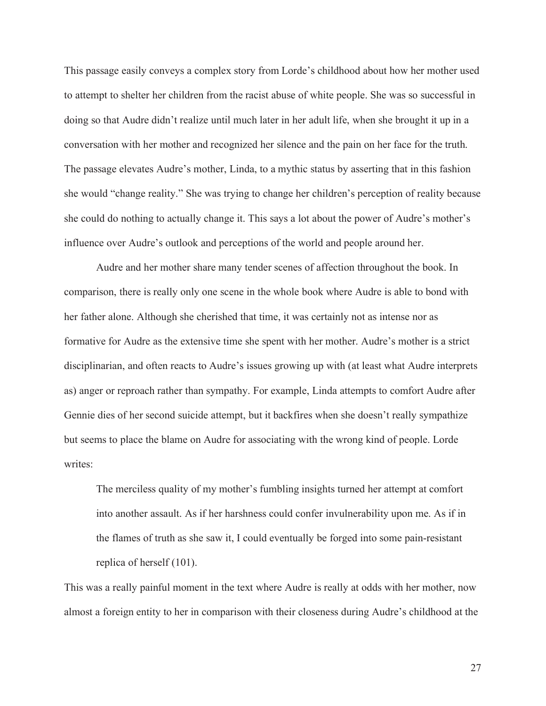This passage easily conveys a complex story from Lorde's childhood about how her mother used to attempt to shelter her children from the racist abuse of white people. She was so successful in doing so that Audre didn't realize until much later in her adult life, when she brought it up in a conversation with her mother and recognized her silence and the pain on her face for the truth. The passage elevates Audre's mother, Linda, to a mythic status by asserting that in this fashion she would "change reality." She was trying to change her children's perception of reality because she could do nothing to actually change it. This says a lot about the power of Audre's mother's influence over Audre's outlook and perceptions of the world and people around her.

Audre and her mother share many tender scenes of affection throughout the book. In comparison, there is really only one scene in the whole book where Audre is able to bond with her father alone. Although she cherished that time, it was certainly not as intense nor as formative for Audre as the extensive time she spent with her mother. Audre's mother is a strict disciplinarian, and often reacts to Audre's issues growing up with (at least what Audre interprets as) anger or reproach rather than sympathy. For example, Linda attempts to comfort Audre after Gennie dies of her second suicide attempt, but it backfires when she doesn't really sympathize but seems to place the blame on Audre for associating with the wrong kind of people. Lorde writes:

The merciless quality of my mother's fumbling insights turned her attempt at comfort into another assault. As if her harshness could confer invulnerability upon me. As if in the flames of truth as she saw it, I could eventually be forged into some pain-resistant replica of herself (101).

This was a really painful moment in the text where Audre is really at odds with her mother, now almost a foreign entity to her in comparison with their closeness during Audre's childhood at the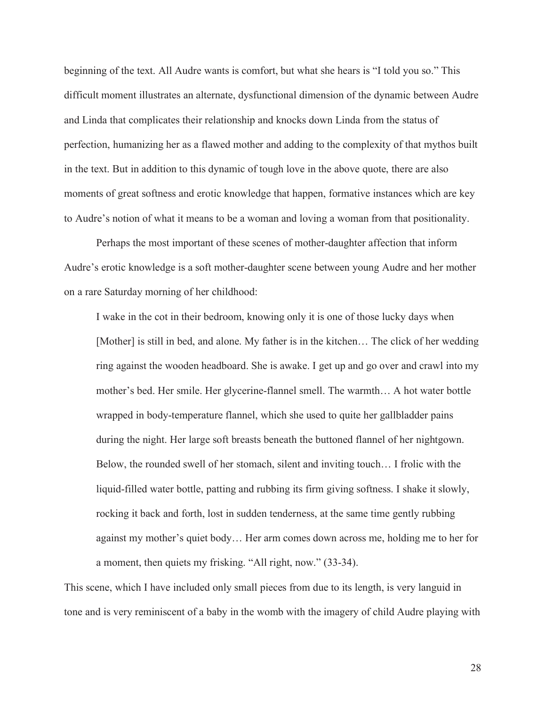beginning of the text. All Audre wants is comfort, but what she hears is "I told you so." This difficult moment illustrates an alternate, dysfunctional dimension of the dynamic between Audre and Linda that complicates their relationship and knocks down Linda from the status of perfection, humanizing her as a flawed mother and adding to the complexity of that mythos built in the text. But in addition to this dynamic of tough love in the above quote, there are also moments of great softness and erotic knowledge that happen, formative instances which are key to Audre's notion of what it means to be a woman and loving a woman from that positionality.

Perhaps the most important of these scenes of mother-daughter affection that inform Audre's erotic knowledge is a soft mother-daughter scene between young Audre and her mother on a rare Saturday morning of her childhood:

I wake in the cot in their bedroom, knowing only it is one of those lucky days when [Mother] is still in bed, and alone. My father is in the kitchen… The click of her wedding ring against the wooden headboard. She is awake. I get up and go over and crawl into my mother's bed. Her smile. Her glycerine-flannel smell. The warmth… A hot water bottle wrapped in body-temperature flannel, which she used to quite her gallbladder pains during the night. Her large soft breasts beneath the buttoned flannel of her nightgown. Below, the rounded swell of her stomach, silent and inviting touch… I frolic with the liquid-filled water bottle, patting and rubbing its firm giving softness. I shake it slowly, rocking it back and forth, lost in sudden tenderness, at the same time gently rubbing against my mother's quiet body… Her arm comes down across me, holding me to her for a moment, then quiets my frisking. "All right, now." (33-34).

This scene, which I have included only small pieces from due to its length, is very languid in tone and is very reminiscent of a baby in the womb with the imagery of child Audre playing with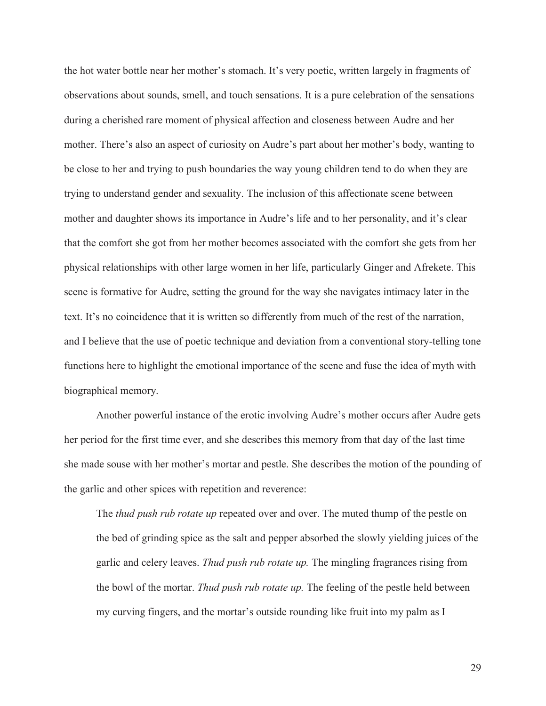the hot water bottle near her mother's stomach. It's very poetic, written largely in fragments of observations about sounds, smell, and touch sensations. It is a pure celebration of the sensations during a cherished rare moment of physical affection and closeness between Audre and her mother. There's also an aspect of curiosity on Audre's part about her mother's body, wanting to be close to her and trying to push boundaries the way young children tend to do when they are trying to understand gender and sexuality. The inclusion of this affectionate scene between mother and daughter shows its importance in Audre's life and to her personality, and it's clear that the comfort she got from her mother becomes associated with the comfort she gets from her physical relationships with other large women in her life, particularly Ginger and Afrekete. This scene is formative for Audre, setting the ground for the way she navigates intimacy later in the text. It's no coincidence that it is written so differently from much of the rest of the narration, and I believe that the use of poetic technique and deviation from a conventional story-telling tone functions here to highlight the emotional importance of the scene and fuse the idea of myth with biographical memory.

Another powerful instance of the erotic involving Audre's mother occurs after Audre gets her period for the first time ever, and she describes this memory from that day of the last time she made souse with her mother's mortar and pestle. She describes the motion of the pounding of the garlic and other spices with repetition and reverence:

The *thud push rub rotate up* repeated over and over. The muted thump of the pestle on the bed of grinding spice as the salt and pepper absorbed the slowly yielding juices of the garlic and celery leaves. *Thud push rub rotate up.* The mingling fragrances rising from the bowl of the mortar. *Thud push rub rotate up.* The feeling of the pestle held between my curving fingers, and the mortar's outside rounding like fruit into my palm as I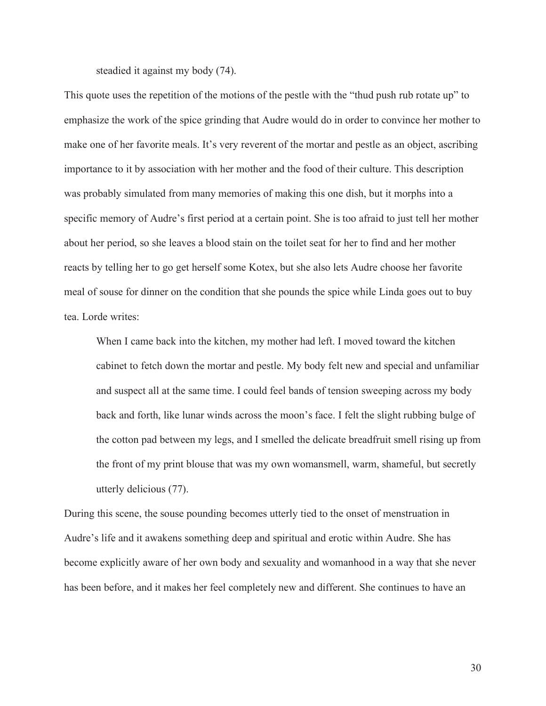steadied it against my body (74).

This quote uses the repetition of the motions of the pestle with the "thud push rub rotate up" to emphasize the work of the spice grinding that Audre would do in order to convince her mother to make one of her favorite meals. It's very reverent of the mortar and pestle as an object, ascribing importance to it by association with her mother and the food of their culture. This description was probably simulated from many memories of making this one dish, but it morphs into a specific memory of Audre's first period at a certain point. She is too afraid to just tell her mother about her period, so she leaves a blood stain on the toilet seat for her to find and her mother reacts by telling her to go get herself some Kotex, but she also lets Audre choose her favorite meal of souse for dinner on the condition that she pounds the spice while Linda goes out to buy tea. Lorde writes:

 When I came back into the kitchen, my mother had left. I moved toward the kitchen cabinet to fetch down the mortar and pestle. My body felt new and special and unfamiliar and suspect all at the same time. I could feel bands of tension sweeping across my body back and forth, like lunar winds across the moon's face. I felt the slight rubbing bulge of the cotton pad between my legs, and I smelled the delicate breadfruit smell rising up from the front of my print blouse that was my own womansmell, warm, shameful, but secretly utterly delicious (77).

During this scene, the souse pounding becomes utterly tied to the onset of menstruation in Audre's life and it awakens something deep and spiritual and erotic within Audre. She has become explicitly aware of her own body and sexuality and womanhood in a way that she never has been before, and it makes her feel completely new and different. She continues to have an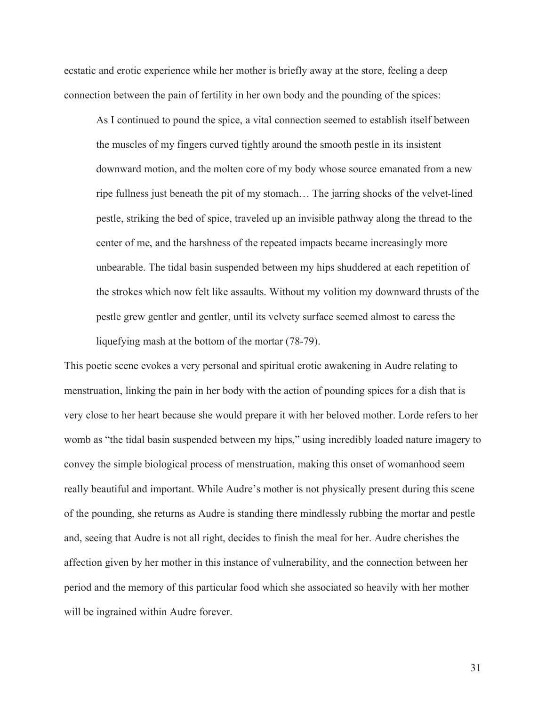ecstatic and erotic experience while her mother is briefly away at the store, feeling a deep connection between the pain of fertility in her own body and the pounding of the spices:

 As I continued to pound the spice, a vital connection seemed to establish itself between the muscles of my fingers curved tightly around the smooth pestle in its insistent downward motion, and the molten core of my body whose source emanated from a new ripe fullness just beneath the pit of my stomach… The jarring shocks of the velvet-lined pestle, striking the bed of spice, traveled up an invisible pathway along the thread to the center of me, and the harshness of the repeated impacts became increasingly more unbearable. The tidal basin suspended between my hips shuddered at each repetition of the strokes which now felt like assaults. Without my volition my downward thrusts of the pestle grew gentler and gentler, until its velvety surface seemed almost to caress the liquefying mash at the bottom of the mortar (78-79).

This poetic scene evokes a very personal and spiritual erotic awakening in Audre relating to menstruation, linking the pain in her body with the action of pounding spices for a dish that is very close to her heart because she would prepare it with her beloved mother. Lorde refers to her womb as "the tidal basin suspended between my hips," using incredibly loaded nature imagery to convey the simple biological process of menstruation, making this onset of womanhood seem really beautiful and important. While Audre's mother is not physically present during this scene of the pounding, she returns as Audre is standing there mindlessly rubbing the mortar and pestle and, seeing that Audre is not all right, decides to finish the meal for her. Audre cherishes the affection given by her mother in this instance of vulnerability, and the connection between her period and the memory of this particular food which she associated so heavily with her mother will be ingrained within Audre forever.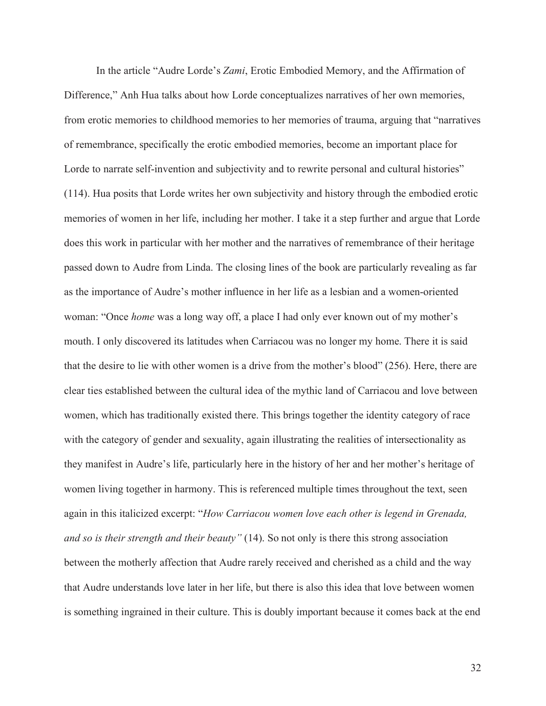In the article "Audre Lorde's *Zami*, Erotic Embodied Memory, and the Affirmation of Difference," Anh Hua talks about how Lorde conceptualizes narratives of her own memories, from erotic memories to childhood memories to her memories of trauma, arguing that "narratives of remembrance, specifically the erotic embodied memories, become an important place for Lorde to narrate self-invention and subjectivity and to rewrite personal and cultural histories" (114). Hua posits that Lorde writes her own subjectivity and history through the embodied erotic memories of women in her life, including her mother. I take it a step further and argue that Lorde does this work in particular with her mother and the narratives of remembrance of their heritage passed down to Audre from Linda. The closing lines of the book are particularly revealing as far as the importance of Audre's mother influence in her life as a lesbian and a women-oriented woman: "Once *home* was a long way off, a place I had only ever known out of my mother's mouth. I only discovered its latitudes when Carriacou was no longer my home. There it is said that the desire to lie with other women is a drive from the mother's blood" (256). Here, there are clear ties established between the cultural idea of the mythic land of Carriacou and love between women, which has traditionally existed there. This brings together the identity category of race with the category of gender and sexuality, again illustrating the realities of intersectionality as they manifest in Audre's life, particularly here in the history of her and her mother's heritage of women living together in harmony. This is referenced multiple times throughout the text, seen again in this italicized excerpt: "*How Carriacou women love each other is legend in Grenada, and so is their strength and their beauty"* (14). So not only is there this strong association between the motherly affection that Audre rarely received and cherished as a child and the way that Audre understands love later in her life, but there is also this idea that love between women is something ingrained in their culture. This is doubly important because it comes back at the end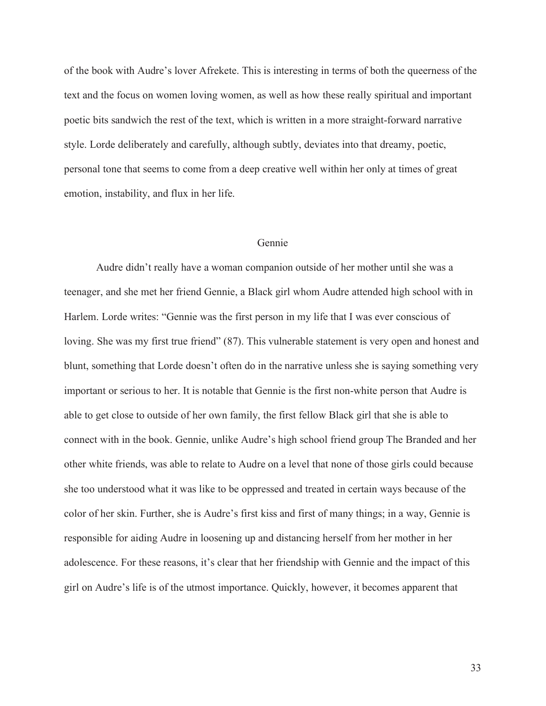of the book with Audre's lover Afrekete. This is interesting in terms of both the queerness of the text and the focus on women loving women, as well as how these really spiritual and important poetic bits sandwich the rest of the text, which is written in a more straight-forward narrative style. Lorde deliberately and carefully, although subtly, deviates into that dreamy, poetic, personal tone that seems to come from a deep creative well within her only at times of great emotion, instability, and flux in her life.

#### Gennie

Audre didn't really have a woman companion outside of her mother until she was a teenager, and she met her friend Gennie, a Black girl whom Audre attended high school with in Harlem. Lorde writes: "Gennie was the first person in my life that I was ever conscious of loving. She was my first true friend" (87). This vulnerable statement is very open and honest and blunt, something that Lorde doesn't often do in the narrative unless she is saying something very important or serious to her. It is notable that Gennie is the first non-white person that Audre is able to get close to outside of her own family, the first fellow Black girl that she is able to connect with in the book. Gennie, unlike Audre's high school friend group The Branded and her other white friends, was able to relate to Audre on a level that none of those girls could because she too understood what it was like to be oppressed and treated in certain ways because of the color of her skin. Further, she is Audre's first kiss and first of many things; in a way, Gennie is responsible for aiding Audre in loosening up and distancing herself from her mother in her adolescence. For these reasons, it's clear that her friendship with Gennie and the impact of this girl on Audre's life is of the utmost importance. Quickly, however, it becomes apparent that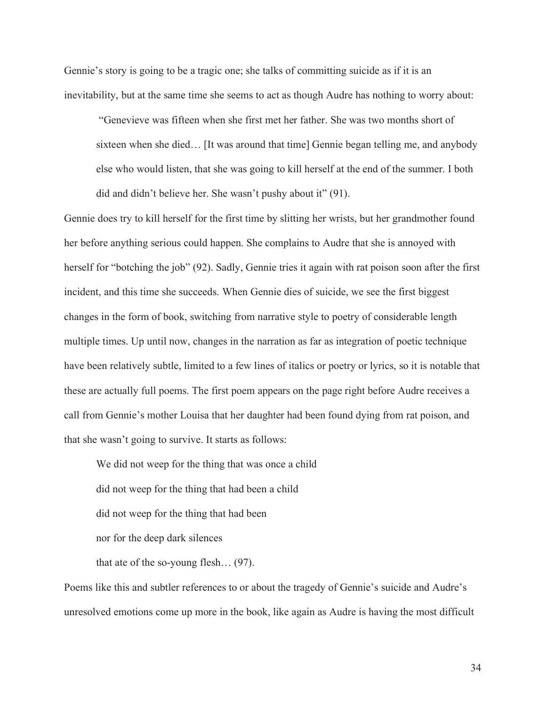Gennie's story is going to be a tragic one; she talks of committing suicide as if it is an inevitability, but at the same time she seems to act as though Audre has nothing to worry about:

 "Genevieve was fifteen when she first met her father. She was two months short of sixteen when she died… [It was around that time] Gennie began telling me, and anybody else who would listen, that she was going to kill herself at the end of the summer. I both did and didn't believe her. She wasn't pushy about it" (91).

Gennie does try to kill herself for the first time by slitting her wrists, but her grandmother found her before anything serious could happen. She complains to Audre that she is annoyed with herself for "botching the job" (92). Sadly, Gennie tries it again with rat poison soon after the first incident, and this time she succeeds. When Gennie dies of suicide, we see the first biggest changes in the form of book, switching from narrative style to poetry of considerable length multiple times. Up until now, changes in the narration as far as integration of poetic technique have been relatively subtle, limited to a few lines of italics or poetry or lyrics, so it is notable that these are actually full poems. The first poem appears on the page right before Audre receives a call from Gennie's mother Louisa that her daughter had been found dying from rat poison, and that she wasn't going to survive. It starts as follows:

We did not weep for the thing that was once a child did not weep for the thing that had been a child did not weep for the thing that had been nor for the deep dark silences that ate of the so-young flesh… (97).

Poems like this and subtler references to or about the tragedy of Gennie's suicide and Audre's unresolved emotions come up more in the book, like again as Audre is having the most difficult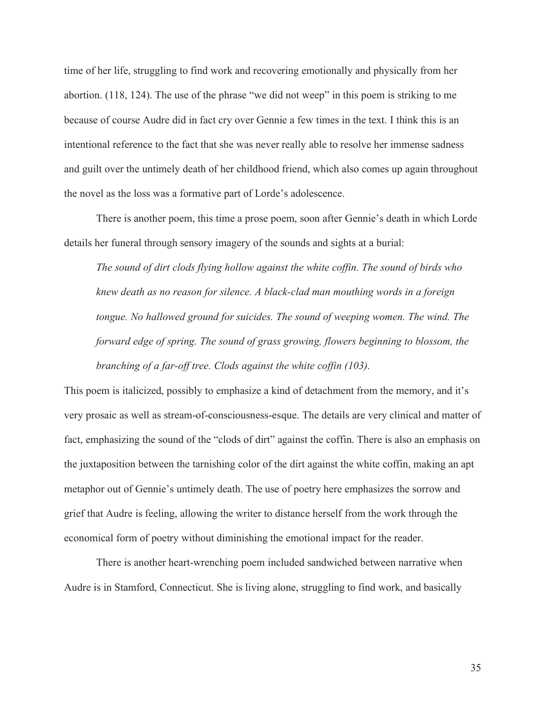time of her life, struggling to find work and recovering emotionally and physically from her abortion. (118, 124). The use of the phrase "we did not weep" in this poem is striking to me because of course Audre did in fact cry over Gennie a few times in the text. I think this is an intentional reference to the fact that she was never really able to resolve her immense sadness and guilt over the untimely death of her childhood friend, which also comes up again throughout the novel as the loss was a formative part of Lorde's adolescence.

There is another poem, this time a prose poem, soon after Gennie's death in which Lorde details her funeral through sensory imagery of the sounds and sights at a burial:

*The sound of dirt clods flying hollow against the white coffin. The sound of birds who knew death as no reason for silence. A black-clad man mouthing words in a foreign tongue. No hallowed ground for suicides. The sound of weeping women. The wind. The forward edge of spring. The sound of grass growing, flowers beginning to blossom, the branching of a far-off tree. Clods against the white coffin (103).* 

This poem is italicized, possibly to emphasize a kind of detachment from the memory, and it's very prosaic as well as stream-of-consciousness-esque. The details are very clinical and matter of fact, emphasizing the sound of the "clods of dirt" against the coffin. There is also an emphasis on the juxtaposition between the tarnishing color of the dirt against the white coffin, making an apt metaphor out of Gennie's untimely death. The use of poetry here emphasizes the sorrow and grief that Audre is feeling, allowing the writer to distance herself from the work through the economical form of poetry without diminishing the emotional impact for the reader.

There is another heart-wrenching poem included sandwiched between narrative when Audre is in Stamford, Connecticut. She is living alone, struggling to find work, and basically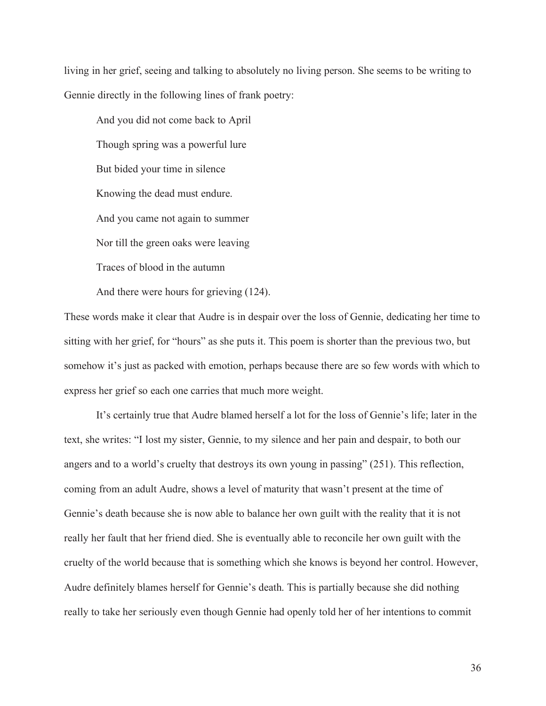living in her grief, seeing and talking to absolutely no living person. She seems to be writing to Gennie directly in the following lines of frank poetry:

And you did not come back to April Though spring was a powerful lure But bided your time in silence Knowing the dead must endure. And you came not again to summer Nor till the green oaks were leaving Traces of blood in the autumn And there were hours for grieving (124).

These words make it clear that Audre is in despair over the loss of Gennie, dedicating her time to sitting with her grief, for "hours" as she puts it. This poem is shorter than the previous two, but somehow it's just as packed with emotion, perhaps because there are so few words with which to express her grief so each one carries that much more weight.

It's certainly true that Audre blamed herself a lot for the loss of Gennie's life; later in the text, she writes: "I lost my sister, Gennie, to my silence and her pain and despair, to both our angers and to a world's cruelty that destroys its own young in passing" (251). This reflection, coming from an adult Audre, shows a level of maturity that wasn't present at the time of Gennie's death because she is now able to balance her own guilt with the reality that it is not really her fault that her friend died. She is eventually able to reconcile her own guilt with the cruelty of the world because that is something which she knows is beyond her control. However, Audre definitely blames herself for Gennie's death. This is partially because she did nothing really to take her seriously even though Gennie had openly told her of her intentions to commit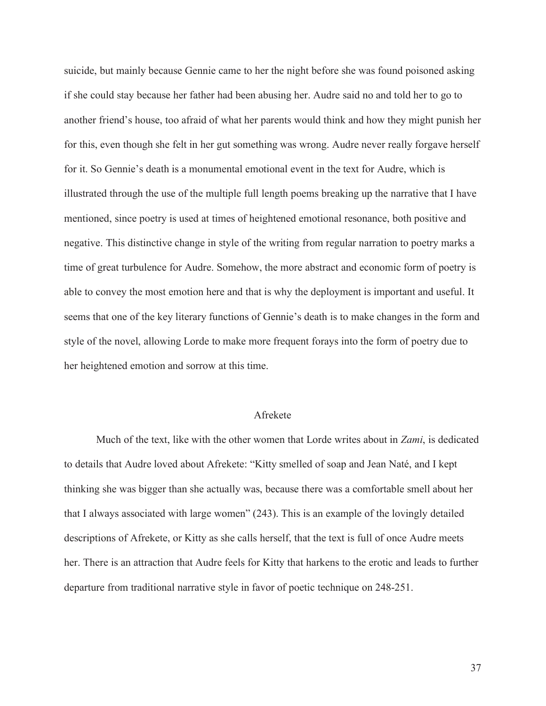suicide, but mainly because Gennie came to her the night before she was found poisoned asking if she could stay because her father had been abusing her. Audre said no and told her to go to another friend's house, too afraid of what her parents would think and how they might punish her for this, even though she felt in her gut something was wrong. Audre never really forgave herself for it. So Gennie's death is a monumental emotional event in the text for Audre, which is illustrated through the use of the multiple full length poems breaking up the narrative that I have mentioned, since poetry is used at times of heightened emotional resonance, both positive and negative. This distinctive change in style of the writing from regular narration to poetry marks a time of great turbulence for Audre. Somehow, the more abstract and economic form of poetry is able to convey the most emotion here and that is why the deployment is important and useful. It seems that one of the key literary functions of Gennie's death is to make changes in the form and style of the novel, allowing Lorde to make more frequent forays into the form of poetry due to her heightened emotion and sorrow at this time.

#### Afrekete

Much of the text, like with the other women that Lorde writes about in *Zami*, is dedicated to details that Audre loved about Afrekete: "Kitty smelled of soap and Jean Naté, and I kept thinking she was bigger than she actually was, because there was a comfortable smell about her that I always associated with large women" (243). This is an example of the lovingly detailed descriptions of Afrekete, or Kitty as she calls herself, that the text is full of once Audre meets her. There is an attraction that Audre feels for Kitty that harkens to the erotic and leads to further departure from traditional narrative style in favor of poetic technique on 248-251.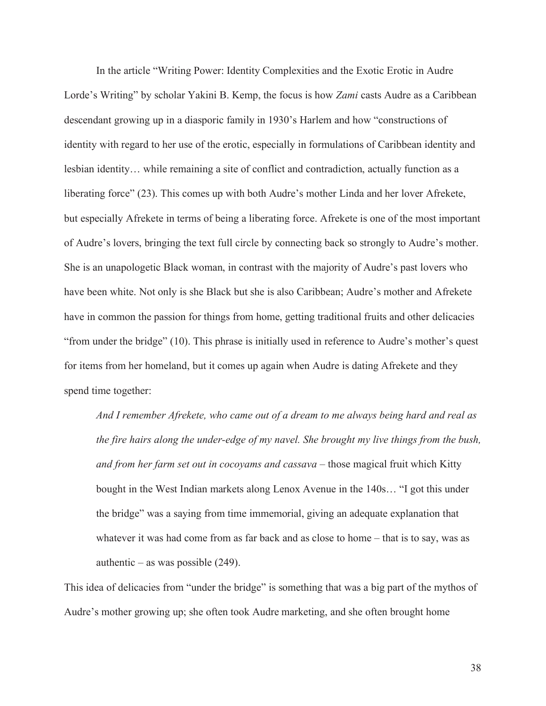In the article "Writing Power: Identity Complexities and the Exotic Erotic in Audre Lorde's Writing" by scholar Yakini B. Kemp, the focus is how *Zami* casts Audre as a Caribbean descendant growing up in a diasporic family in 1930's Harlem and how "constructions of identity with regard to her use of the erotic, especially in formulations of Caribbean identity and lesbian identity… while remaining a site of conflict and contradiction, actually function as a liberating force" (23). This comes up with both Audre's mother Linda and her lover Afrekete, but especially Afrekete in terms of being a liberating force. Afrekete is one of the most important of Audre's lovers, bringing the text full circle by connecting back so strongly to Audre's mother. She is an unapologetic Black woman, in contrast with the majority of Audre's past lovers who have been white. Not only is she Black but she is also Caribbean; Audre's mother and Afrekete have in common the passion for things from home, getting traditional fruits and other delicacies "from under the bridge" (10). This phrase is initially used in reference to Audre's mother's quest for items from her homeland, but it comes up again when Audre is dating Afrekete and they spend time together:

*And I remember Afrekete, who came out of a dream to me always being hard and real as the fire hairs along the under-edge of my navel. She brought my live things from the bush, and from her farm set out in cocoyams and cassava –* those magical fruit which Kitty bought in the West Indian markets along Lenox Avenue in the 140s… "I got this under the bridge" was a saying from time immemorial, giving an adequate explanation that whatever it was had come from as far back and as close to home – that is to say, was as authentic – as was possible  $(249)$ .

This idea of delicacies from "under the bridge" is something that was a big part of the mythos of Audre's mother growing up; she often took Audre marketing, and she often brought home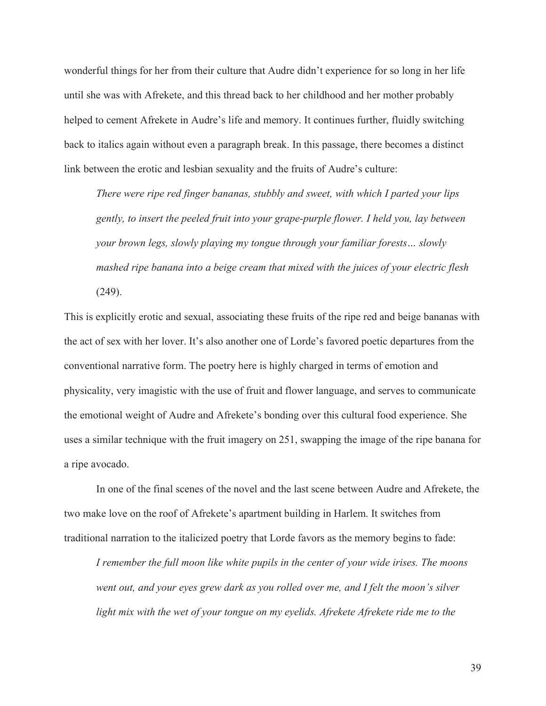wonderful things for her from their culture that Audre didn't experience for so long in her life until she was with Afrekete, and this thread back to her childhood and her mother probably helped to cement Afrekete in Audre's life and memory. It continues further, fluidly switching back to italics again without even a paragraph break. In this passage, there becomes a distinct link between the erotic and lesbian sexuality and the fruits of Audre's culture:

*There were ripe red finger bananas, stubbly and sweet, with which I parted your lips gently, to insert the peeled fruit into your grape-purple flower. I held you, lay between your brown legs, slowly playing my tongue through your familiar forests… slowly mashed ripe banana into a beige cream that mixed with the juices of your electric flesh*  (249).

This is explicitly erotic and sexual, associating these fruits of the ripe red and beige bananas with the act of sex with her lover. It's also another one of Lorde's favored poetic departures from the conventional narrative form. The poetry here is highly charged in terms of emotion and physicality, very imagistic with the use of fruit and flower language, and serves to communicate the emotional weight of Audre and Afrekete's bonding over this cultural food experience. She uses a similar technique with the fruit imagery on 251, swapping the image of the ripe banana for a ripe avocado.

In one of the final scenes of the novel and the last scene between Audre and Afrekete, the two make love on the roof of Afrekete's apartment building in Harlem. It switches from traditional narration to the italicized poetry that Lorde favors as the memory begins to fade:

*I remember the full moon like white pupils in the center of your wide irises. The moons went out, and your eyes grew dark as you rolled over me, and I felt the moon's silver*  light mix with the wet of your tongue on my eyelids. Afrekete Afrekete ride me to the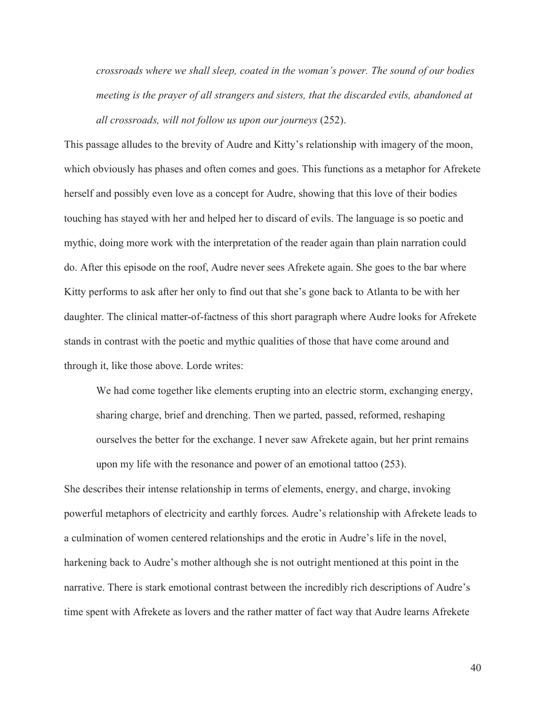*crossroads where we shall sleep, coated in the woman's power. The sound of our bodies meeting is the prayer of all strangers and sisters, that the discarded evils, abandoned at all crossroads, will not follow us upon our journeys* (252).

This passage alludes to the brevity of Audre and Kitty's relationship with imagery of the moon, which obviously has phases and often comes and goes. This functions as a metaphor for Afrekete herself and possibly even love as a concept for Audre, showing that this love of their bodies touching has stayed with her and helped her to discard of evils. The language is so poetic and mythic, doing more work with the interpretation of the reader again than plain narration could do. After this episode on the roof, Audre never sees Afrekete again. She goes to the bar where Kitty performs to ask after her only to find out that she's gone back to Atlanta to be with her daughter. The clinical matter-of-factness of this short paragraph where Audre looks for Afrekete stands in contrast with the poetic and mythic qualities of those that have come around and through it, like those above. Lorde writes:

We had come together like elements erupting into an electric storm, exchanging energy, sharing charge, brief and drenching. Then we parted, passed, reformed, reshaping ourselves the better for the exchange. I never saw Afrekete again, but her print remains upon my life with the resonance and power of an emotional tattoo (253).

She describes their intense relationship in terms of elements, energy, and charge, invoking powerful metaphors of electricity and earthly forces. Audre's relationship with Afrekete leads to a culmination of women centered relationships and the erotic in Audre's life in the novel, harkening back to Audre's mother although she is not outright mentioned at this point in the narrative. There is stark emotional contrast between the incredibly rich descriptions of Audre's time spent with Afrekete as lovers and the rather matter of fact way that Audre learns Afrekete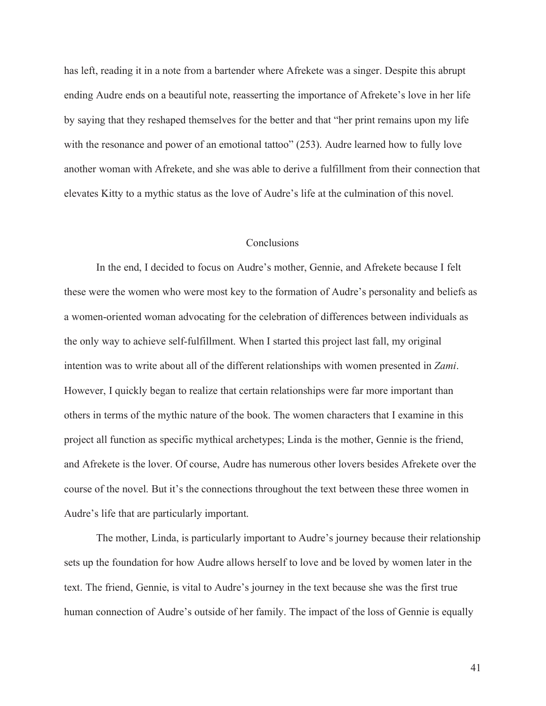has left, reading it in a note from a bartender where Afrekete was a singer. Despite this abrupt ending Audre ends on a beautiful note, reasserting the importance of Afrekete's love in her life by saying that they reshaped themselves for the better and that "her print remains upon my life with the resonance and power of an emotional tattoo" (253). Audre learned how to fully love another woman with Afrekete, and she was able to derive a fulfillment from their connection that elevates Kitty to a mythic status as the love of Audre's life at the culmination of this novel.

#### **Conclusions**

 In the end, I decided to focus on Audre's mother, Gennie, and Afrekete because I felt these were the women who were most key to the formation of Audre's personality and beliefs as a women-oriented woman advocating for the celebration of differences between individuals as the only way to achieve self-fulfillment. When I started this project last fall, my original intention was to write about all of the different relationships with women presented in *Zami*. However, I quickly began to realize that certain relationships were far more important than others in terms of the mythic nature of the book. The women characters that I examine in this project all function as specific mythical archetypes; Linda is the mother, Gennie is the friend, and Afrekete is the lover. Of course, Audre has numerous other lovers besides Afrekete over the course of the novel. But it's the connections throughout the text between these three women in Audre's life that are particularly important.

The mother, Linda, is particularly important to Audre's journey because their relationship sets up the foundation for how Audre allows herself to love and be loved by women later in the text. The friend, Gennie, is vital to Audre's journey in the text because she was the first true human connection of Audre's outside of her family. The impact of the loss of Gennie is equally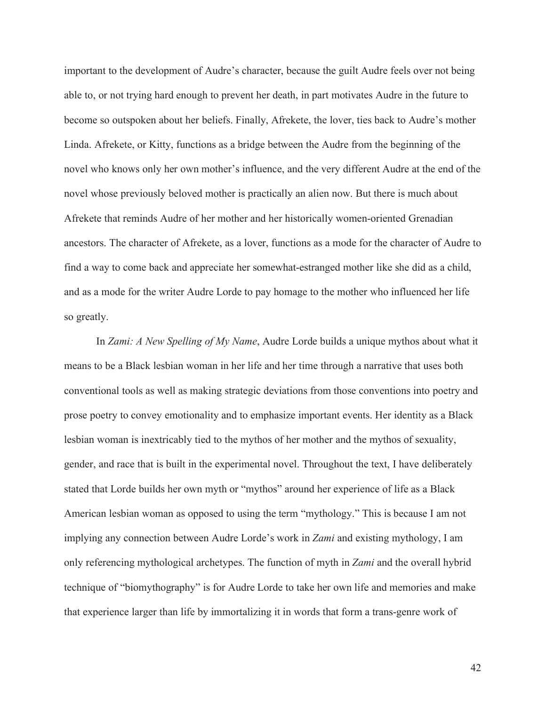important to the development of Audre's character, because the guilt Audre feels over not being able to, or not trying hard enough to prevent her death, in part motivates Audre in the future to become so outspoken about her beliefs. Finally, Afrekete, the lover, ties back to Audre's mother Linda. Afrekete, or Kitty, functions as a bridge between the Audre from the beginning of the novel who knows only her own mother's influence, and the very different Audre at the end of the novel whose previously beloved mother is practically an alien now. But there is much about Afrekete that reminds Audre of her mother and her historically women-oriented Grenadian ancestors. The character of Afrekete, as a lover, functions as a mode for the character of Audre to find a way to come back and appreciate her somewhat-estranged mother like she did as a child, and as a mode for the writer Audre Lorde to pay homage to the mother who influenced her life so greatly.

In *Zami: A New Spelling of My Name*, Audre Lorde builds a unique mythos about what it means to be a Black lesbian woman in her life and her time through a narrative that uses both conventional tools as well as making strategic deviations from those conventions into poetry and prose poetry to convey emotionality and to emphasize important events. Her identity as a Black lesbian woman is inextricably tied to the mythos of her mother and the mythos of sexuality, gender, and race that is built in the experimental novel. Throughout the text, I have deliberately stated that Lorde builds her own myth or "mythos" around her experience of life as a Black American lesbian woman as opposed to using the term "mythology." This is because I am not implying any connection between Audre Lorde's work in *Zami* and existing mythology, I am only referencing mythological archetypes. The function of myth in *Zami* and the overall hybrid technique of "biomythography" is for Audre Lorde to take her own life and memories and make that experience larger than life by immortalizing it in words that form a trans-genre work of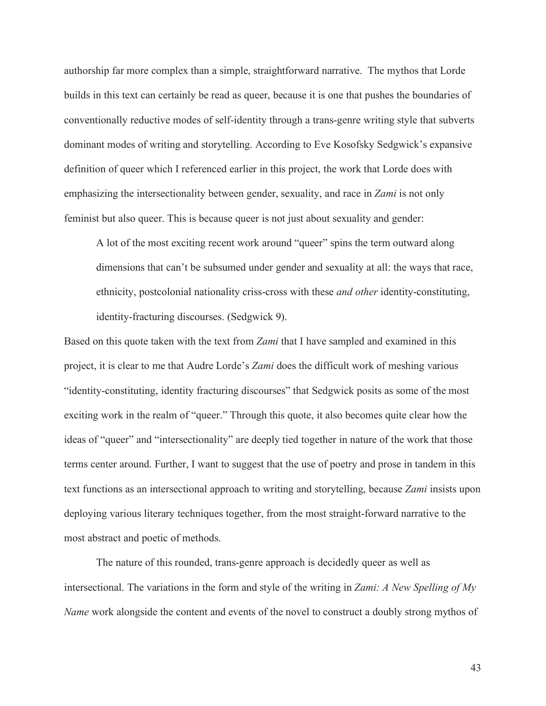authorship far more complex than a simple, straightforward narrative. The mythos that Lorde builds in this text can certainly be read as queer, because it is one that pushes the boundaries of conventionally reductive modes of self-identity through a trans-genre writing style that subverts dominant modes of writing and storytelling. According to Eve Kosofsky Sedgwick's expansive definition of queer which I referenced earlier in this project, the work that Lorde does with emphasizing the intersectionality between gender, sexuality, and race in *Zami* is not only feminist but also queer. This is because queer is not just about sexuality and gender:

A lot of the most exciting recent work around "queer" spins the term outward along dimensions that can't be subsumed under gender and sexuality at all: the ways that race, ethnicity, postcolonial nationality criss-cross with these *and other* identity-constituting, identity-fracturing discourses. (Sedgwick 9).

Based on this quote taken with the text from *Zami* that I have sampled and examined in this project, it is clear to me that Audre Lorde's *Zami* does the difficult work of meshing various "identity-constituting, identity fracturing discourses" that Sedgwick posits as some of the most exciting work in the realm of "queer." Through this quote, it also becomes quite clear how the ideas of "queer" and "intersectionality" are deeply tied together in nature of the work that those terms center around. Further, I want to suggest that the use of poetry and prose in tandem in this text functions as an intersectional approach to writing and storytelling, because *Zami* insists upon deploying various literary techniques together, from the most straight-forward narrative to the most abstract and poetic of methods.

The nature of this rounded, trans-genre approach is decidedly queer as well as intersectional. The variations in the form and style of the writing in *Zami: A New Spelling of My Name* work alongside the content and events of the novel to construct a doubly strong mythos of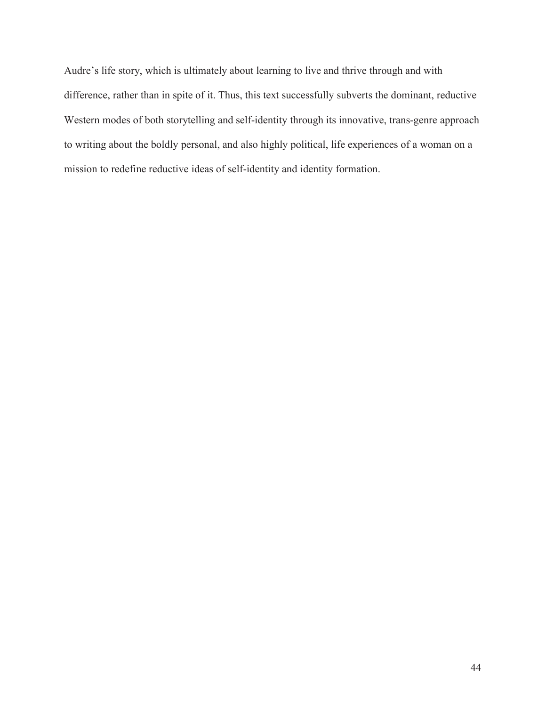Audre's life story, which is ultimately about learning to live and thrive through and with difference, rather than in spite of it. Thus, this text successfully subverts the dominant, reductive Western modes of both storytelling and self-identity through its innovative, trans-genre approach to writing about the boldly personal, and also highly political, life experiences of a woman on a mission to redefine reductive ideas of self-identity and identity formation.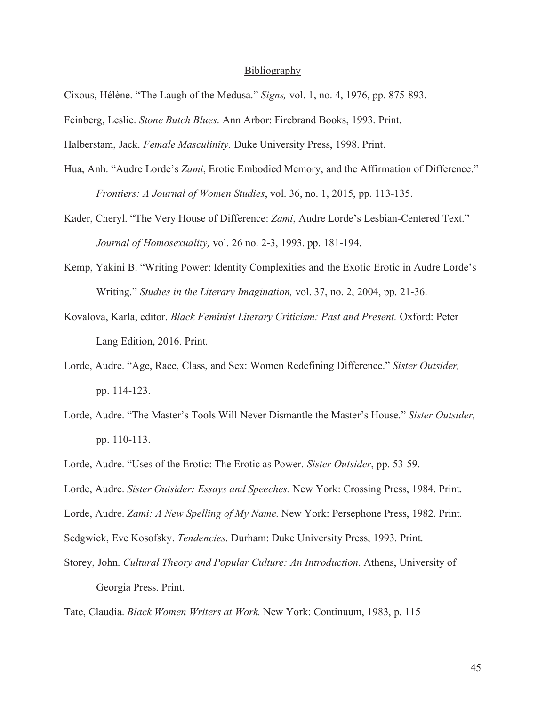#### **Bibliography**

Cixous, Hélène. "The Laugh of the Medusa." *Signs,* vol. 1, no. 4, 1976, pp. 875-893.

Feinberg, Leslie. *Stone Butch Blues*. Ann Arbor: Firebrand Books, 1993. Print.

Halberstam, Jack. *Female Masculinity.* Duke University Press, 1998. Print.

- Hua, Anh. "Audre Lorde's *Zami*, Erotic Embodied Memory, and the Affirmation of Difference." *Frontiers: A Journal of Women Studies*, vol. 36, no. 1, 2015, pp. 113-135.
- Kader, Cheryl. "The Very House of Difference: *Zami*, Audre Lorde's Lesbian-Centered Text." *Journal of Homosexuality,* vol. 26 no. 2-3, 1993. pp. 181-194.
- Kemp, Yakini B. "Writing Power: Identity Complexities and the Exotic Erotic in Audre Lorde's Writing." *Studies in the Literary Imagination,* vol. 37, no. 2, 2004, pp. 21-36.
- Kovalova, Karla, editor. *Black Feminist Literary Criticism: Past and Present.* Oxford: Peter Lang Edition, 2016. Print.
- Lorde, Audre. "Age, Race, Class, and Sex: Women Redefining Difference." *Sister Outsider,*  pp. 114-123.
- Lorde, Audre. "The Master's Tools Will Never Dismantle the Master's House." *Sister Outsider,*  pp. 110-113.
- Lorde, Audre. "Uses of the Erotic: The Erotic as Power. *Sister Outsider*, pp. 53-59.

Lorde, Audre. *Sister Outsider: Essays and Speeches.* New York: Crossing Press, 1984. Print.

Lorde, Audre. *Zami: A New Spelling of My Name.* New York: Persephone Press, 1982. Print.

Sedgwick, Eve Kosofsky. *Tendencies*. Durham: Duke University Press, 1993. Print.

Storey, John. *Cultural Theory and Popular Culture: An Introduction*. Athens, University of Georgia Press. Print.

Tate, Claudia. *Black Women Writers at Work.* New York: Continuum, 1983, p. 115